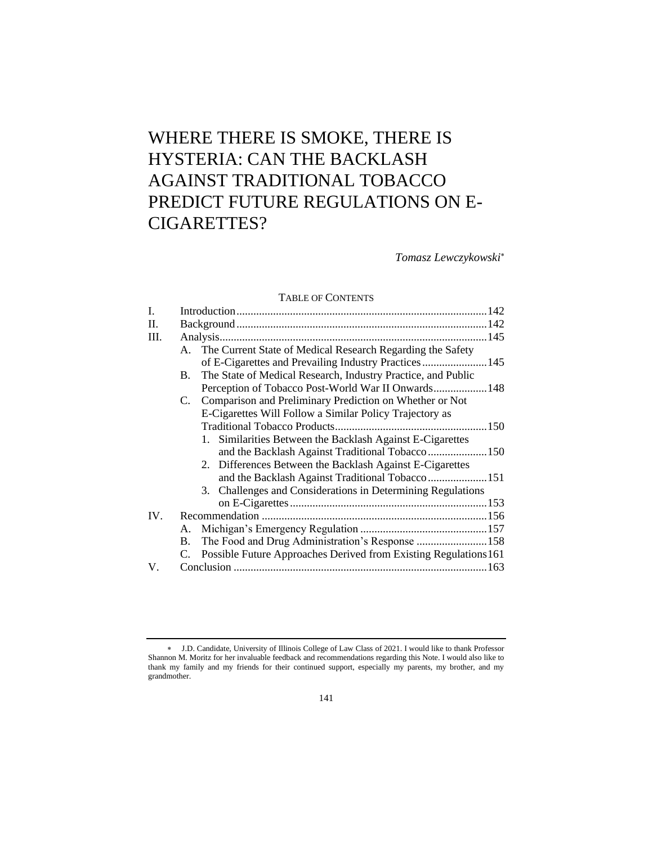# WHERE THERE IS SMOKE, THERE IS HYSTERIA: CAN THE BACKLASH AGAINST TRADITIONAL TOBACCO PREDICT FUTURE REGULATIONS ON E-CIGARETTES?

*Tomasz Lewczykowski*

# TABLE OF CONTENTS

| I.      |    |                                                                     |  |
|---------|----|---------------------------------------------------------------------|--|
| $\Pi$ . |    |                                                                     |  |
| III.    |    |                                                                     |  |
|         |    | A. The Current State of Medical Research Regarding the Safety       |  |
|         |    | of E-Cigarettes and Prevailing Industry Practices145                |  |
|         | B. | The State of Medical Research, Industry Practice, and Public        |  |
|         |    | Perception of Tobacco Post-World War II Onwards 148                 |  |
|         |    | C. Comparison and Preliminary Prediction on Whether or Not          |  |
|         |    | E-Cigarettes Will Follow a Similar Policy Trajectory as             |  |
|         |    |                                                                     |  |
|         |    | 1. Similarities Between the Backlash Against E-Cigarettes           |  |
|         |    |                                                                     |  |
|         |    | 2. Differences Between the Backlash Against E-Cigarettes            |  |
|         |    | and the Backlash Against Traditional Tobacco151                     |  |
|         |    | 3. Challenges and Considerations in Determining Regulations         |  |
|         |    |                                                                     |  |
| IV.     |    |                                                                     |  |
|         | А. |                                                                     |  |
|         |    | B. The Food and Drug Administration's Response 158                  |  |
|         |    | C. Possible Future Approaches Derived from Existing Regulations 161 |  |
| V.      |    |                                                                     |  |
|         |    |                                                                     |  |

J.D. Candidate, University of Illinois College of Law Class of 2021. I would like to thank Professor Shannon M. Moritz for her invaluable feedback and recommendations regarding this Note. I would also like to thank my family and my friends for their continued support, especially my parents, my brother, and my grandmother.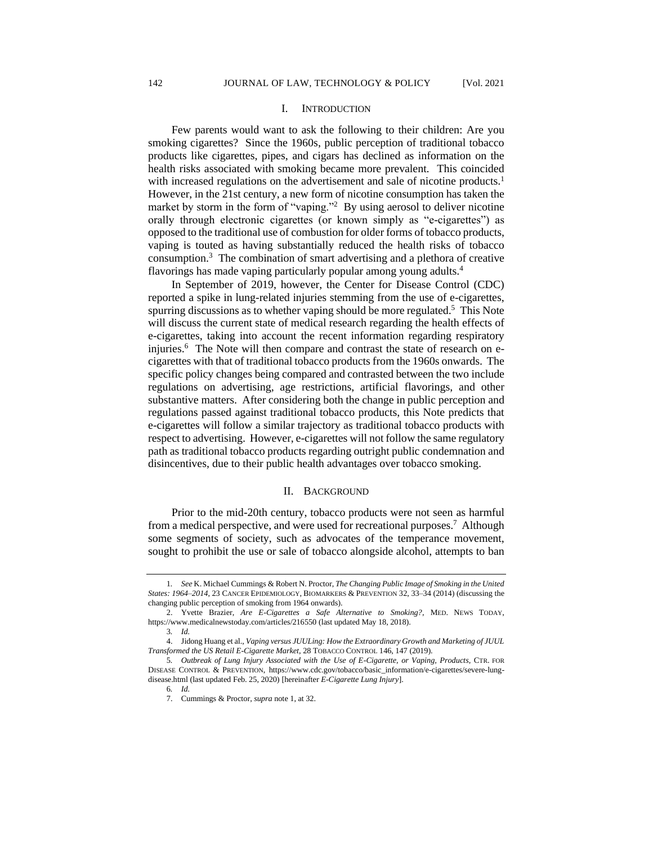#### I. INTRODUCTION

Few parents would want to ask the following to their children: Are you smoking cigarettes? Since the 1960s, public perception of traditional tobacco products like cigarettes, pipes, and cigars has declined as information on the health risks associated with smoking became more prevalent. This coincided with increased regulations on the advertisement and sale of nicotine products.<sup>1</sup> However, in the 21st century, a new form of nicotine consumption has taken the market by storm in the form of "vaping."<sup>2</sup> By using aerosol to deliver nicotine orally through electronic cigarettes (or known simply as "e-cigarettes") as opposed to the traditional use of combustion for older forms of tobacco products, vaping is touted as having substantially reduced the health risks of tobacco consumption.<sup>3</sup> The combination of smart advertising and a plethora of creative flavorings has made vaping particularly popular among young adults.<sup>4</sup>

In September of 2019, however, the Center for Disease Control (CDC) reported a spike in lung-related injuries stemming from the use of e-cigarettes, spurring discussions as to whether vaping should be more regulated.<sup>5</sup> This Note will discuss the current state of medical research regarding the health effects of e-cigarettes, taking into account the recent information regarding respiratory injuries.<sup>6</sup> The Note will then compare and contrast the state of research on ecigarettes with that of traditional tobacco products from the 1960s onwards. The specific policy changes being compared and contrasted between the two include regulations on advertising, age restrictions, artificial flavorings, and other substantive matters. After considering both the change in public perception and regulations passed against traditional tobacco products, this Note predicts that e-cigarettes will follow a similar trajectory as traditional tobacco products with respect to advertising. However, e-cigarettes will not follow the same regulatory path as traditional tobacco products regarding outright public condemnation and disincentives, due to their public health advantages over tobacco smoking.

## II. BACKGROUND

Prior to the mid-20th century, tobacco products were not seen as harmful from a medical perspective, and were used for recreational purposes.<sup>7</sup> Although some segments of society, such as advocates of the temperance movement, sought to prohibit the use or sale of tobacco alongside alcohol, attempts to ban

<sup>1</sup>*. See* K. Michael Cummings & Robert N. Proctor, *The Changing Public Image of Smoking in the United States: 1964–2014*, 23 CANCER EPIDEMIOLOGY, BIOMARKERS & PREVENTION 32, 33–34 (2014) (discussing the changing public perception of smoking from 1964 onwards).

<sup>2.</sup> Yvette Brazier, *Are E-Cigarettes a Safe Alternative to Smoking?*, MED. NEWS TODAY, https://www.medicalnewstoday.com/articles/216550 (last updated May 18, 2018).

<sup>3</sup>*. Id.*

<sup>4.</sup> Jidong Huang et al., *Vaping versus JUULing: How the Extraordinary Growth and Marketing of JUUL Transformed the US Retail E-Cigarette Market*, 28 TOBACCO CONTROL 146, 147 (2019).

<sup>5</sup>*. Outbreak of Lung Injury Associated with the Use of E-Cigarette, or Vaping, Products*, CTR. FOR DISEASE CONTROL & PREVENTION, https://www.cdc.gov/tobacco/basic\_information/e-cigarettes/severe-lungdisease.html (last updated Feb. 25, 2020) [hereinafter *E-Cigarette Lung Injury*].

<sup>6</sup>*. Id.*

<sup>7.</sup> Cummings & Proctor, *supra* note 1, at 32.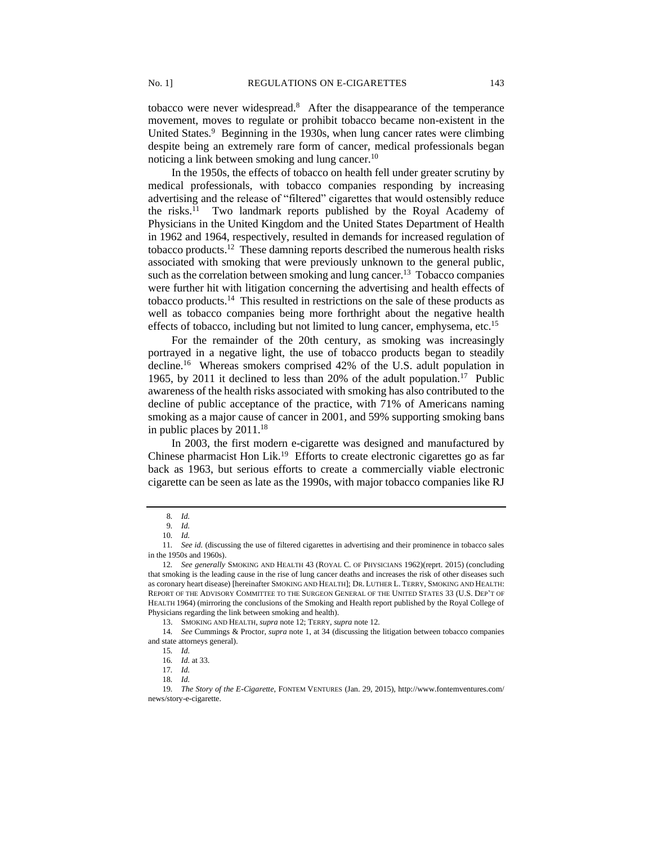tobacco were never widespread.<sup>8</sup> After the disappearance of the temperance movement, moves to regulate or prohibit tobacco became non-existent in the United States.<sup>9</sup> Beginning in the 1930s, when lung cancer rates were climbing despite being an extremely rare form of cancer, medical professionals began noticing a link between smoking and lung cancer.<sup>10</sup>

In the 1950s, the effects of tobacco on health fell under greater scrutiny by medical professionals, with tobacco companies responding by increasing advertising and the release of "filtered" cigarettes that would ostensibly reduce the risks.<sup>11</sup> Two landmark reports published by the Royal Academy of Physicians in the United Kingdom and the United States Department of Health in 1962 and 1964, respectively, resulted in demands for increased regulation of tobacco products.<sup>12</sup> These damning reports described the numerous health risks associated with smoking that were previously unknown to the general public, such as the correlation between smoking and lung cancer.<sup>13</sup> Tobacco companies were further hit with litigation concerning the advertising and health effects of tobacco products.<sup>14</sup> This resulted in restrictions on the sale of these products as well as tobacco companies being more forthright about the negative health effects of tobacco, including but not limited to lung cancer, emphysema, etc.<sup>15</sup>

For the remainder of the 20th century, as smoking was increasingly portrayed in a negative light, the use of tobacco products began to steadily decline.<sup>16</sup> Whereas smokers comprised 42% of the U.S. adult population in 1965, by 2011 it declined to less than 20% of the adult population.<sup>17</sup> Public awareness of the health risks associated with smoking has also contributed to the decline of public acceptance of the practice, with 71% of Americans naming smoking as a major cause of cancer in 2001, and 59% supporting smoking bans in public places by  $2011.^{18}$ 

In 2003, the first modern e-cigarette was designed and manufactured by Chinese pharmacist Hon Lik.<sup>19</sup> Efforts to create electronic cigarettes go as far back as 1963, but serious efforts to create a commercially viable electronic cigarette can be seen as late as the 1990s, with major tobacco companies like RJ

<sup>8</sup>*. Id.*

<sup>9</sup>*. Id.* 10*. Id.*

<sup>11</sup>*. See id.* (discussing the use of filtered cigarettes in advertising and their prominence in tobacco sales in the 1950s and 1960s).

<sup>12</sup>*. See generally* SMOKING AND HEALTH 43 (ROYAL C. OF PHYSICIANS 1962)(reprt. 2015) (concluding that smoking is the leading cause in the rise of lung cancer deaths and increases the risk of other diseases such as coronary heart disease) [hereinafter SMOKING AND HEALTH]; DR. LUTHER L. TERRY, SMOKING AND HEALTH: REPORT OF THE ADVISORY COMMITTEE TO THE SURGEON GENERAL OF THE UNITED STATES 33 (U.S. DEP'T OF HEALTH 1964) (mirroring the conclusions of the Smoking and Health report published by the Royal College of Physicians regarding the link between smoking and health).

<sup>13.</sup> SMOKING AND HEALTH, *supra* note 12; TERRY, *supra* note 12.

<sup>14</sup>*. See* Cummings & Proctor, *supra* note 1, at 34 (discussing the litigation between tobacco companies and state attorneys general).

<sup>15</sup>*. Id.*

<sup>16</sup>*. Id.* at 33. 17*. Id.*

<sup>18</sup>*. Id.*

<sup>19</sup>*. The Story of the E-Cigarette*, FONTEM VENTURES (Jan. 29, 2015), http://www.fontemventures.com/ news/story-e-cigarette.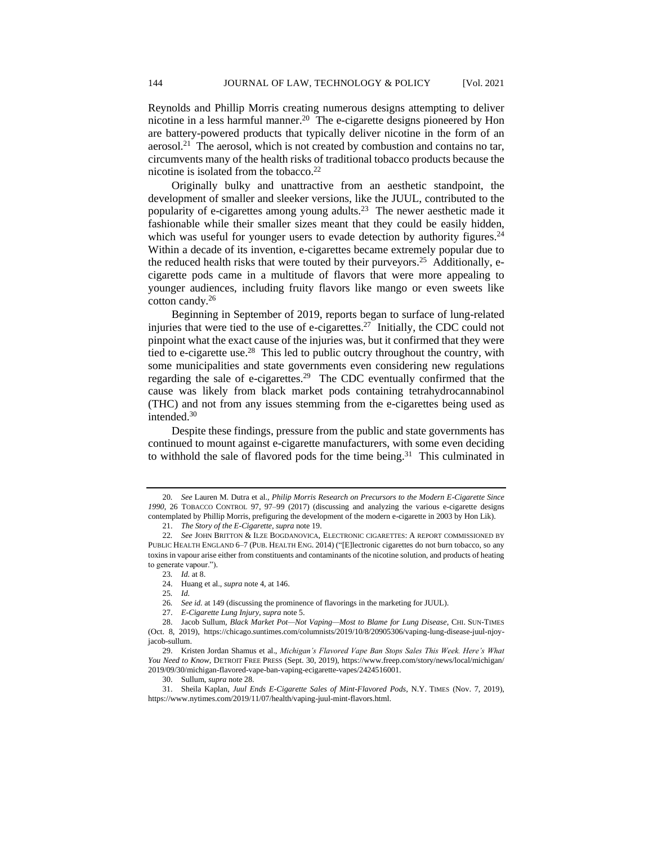Reynolds and Phillip Morris creating numerous designs attempting to deliver nicotine in a less harmful manner.<sup>20</sup> The e-cigarette designs pioneered by Hon are battery-powered products that typically deliver nicotine in the form of an aerosol.<sup>21</sup> The aerosol, which is not created by combustion and contains no tar, circumvents many of the health risks of traditional tobacco products because the nicotine is isolated from the tobacco.<sup>22</sup>

Originally bulky and unattractive from an aesthetic standpoint, the development of smaller and sleeker versions, like the JUUL, contributed to the popularity of e-cigarettes among young adults.<sup>23</sup> The newer aesthetic made it fashionable while their smaller sizes meant that they could be easily hidden, which was useful for younger users to evade detection by authority figures. $24$ Within a decade of its invention, e-cigarettes became extremely popular due to the reduced health risks that were touted by their purveyors.<sup>25</sup> Additionally, ecigarette pods came in a multitude of flavors that were more appealing to younger audiences, including fruity flavors like mango or even sweets like cotton candy.<sup>26</sup>

Beginning in September of 2019, reports began to surface of lung-related injuries that were tied to the use of e-cigarettes.<sup>27</sup> Initially, the CDC could not pinpoint what the exact cause of the injuries was, but it confirmed that they were tied to e-cigarette use.<sup>28</sup> This led to public outcry throughout the country, with some municipalities and state governments even considering new regulations regarding the sale of e-cigarettes.<sup>29</sup> The CDC eventually confirmed that the cause was likely from black market pods containing tetrahydrocannabinol (THC) and not from any issues stemming from the e-cigarettes being used as intended.<sup>30</sup>

Despite these findings, pressure from the public and state governments has continued to mount against e-cigarette manufacturers, with some even deciding to withhold the sale of flavored pods for the time being. $31$  This culminated in

23*. Id.* at 8.

<sup>20</sup>*. See* Lauren M. Dutra et al., *Philip Morris Research on Precursors to the Modern E-Cigarette Since 1990*, 26 TOBACCO CONTROL 97, 97–99 (2017) (discussing and analyzing the various e-cigarette designs contemplated by Phillip Morris, prefiguring the development of the modern e-cigarette in 2003 by Hon Lik).

<sup>21.</sup> *The Story of the E-Cigarette*, *supra* note 19.

<sup>22</sup>*. See* JOHN BRITTON & ILZE BOGDANOVICA, ELECTRONIC CIGARETTES: A REPORT COMMISSIONED BY PUBLIC HEALTH ENGLAND 6–7 (PUB. HEALTH ENG. 2014) ("[E]lectronic cigarettes do not burn tobacco, so any toxins in vapour arise either from constituents and contaminants of the nicotine solution, and products of heating to generate vapour.").

<sup>24.</sup> Huang et al., *supra* note 4, at 146.

<sup>25</sup>*. Id.*

<sup>26</sup>*. See id.* at 149 (discussing the prominence of flavorings in the marketing for JUUL).

<sup>27.</sup> *E-Cigarette Lung Injury*, *supra* note 5.

<sup>28.</sup> Jacob Sullum, *Black Market Pot—Not Vaping—Most to Blame for Lung Disease*, CHI. SUN-TIMES (Oct. 8, 2019), https://chicago.suntimes.com/columnists/2019/10/8/20905306/vaping-lung-disease-juul-njoyjacob-sullum.

<sup>29.</sup> Kristen Jordan Shamus et al., *Michigan's Flavored Vape Ban Stops Sales This Week. Here's What You Need to Know*, DETROIT FREE PRESS (Sept. 30, 2019), https://www.freep.com/story/news/local/michigan/ 2019/09/30/michigan-flavored-vape-ban-vaping-ecigarette-vapes/2424516001.

<sup>30.</sup> Sullum, *supra* note 28.

<sup>31.</sup> Sheila Kaplan, *Juul Ends E-Cigarette Sales of Mint-Flavored Pods*, N.Y. TIMES (Nov. 7, 2019), https://www.nytimes.com/2019/11/07/health/vaping-juul-mint-flavors.html.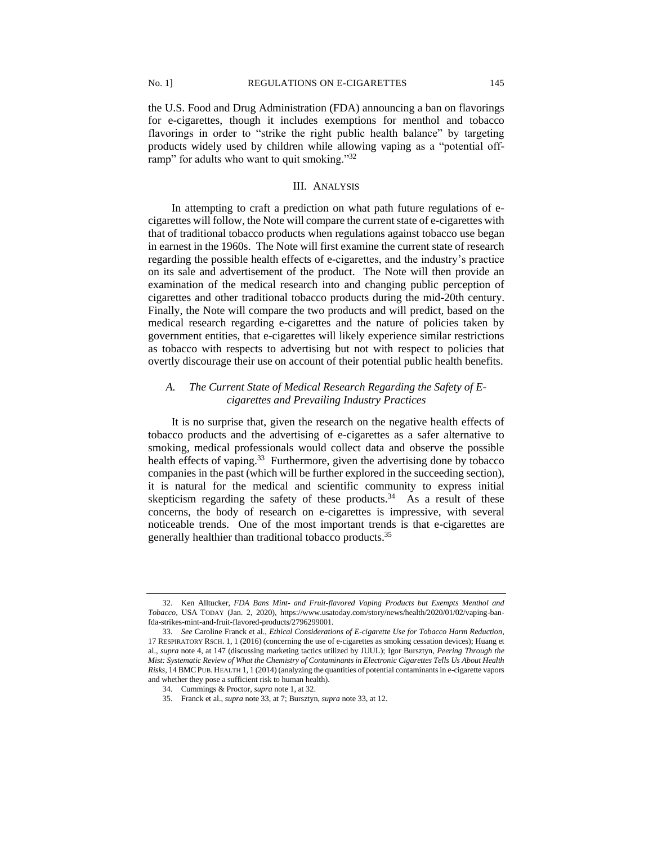the U.S. Food and Drug Administration (FDA) announcing a ban on flavorings for e-cigarettes, though it includes exemptions for menthol and tobacco flavorings in order to "strike the right public health balance" by targeting products widely used by children while allowing vaping as a "potential offramp" for adults who want to quit smoking."32

## III. ANALYSIS

In attempting to craft a prediction on what path future regulations of ecigarettes will follow, the Note will compare the current state of e-cigarettes with that of traditional tobacco products when regulations against tobacco use began in earnest in the 1960s. The Note will first examine the current state of research regarding the possible health effects of e-cigarettes, and the industry's practice on its sale and advertisement of the product. The Note will then provide an examination of the medical research into and changing public perception of cigarettes and other traditional tobacco products during the mid-20th century. Finally, the Note will compare the two products and will predict, based on the medical research regarding e-cigarettes and the nature of policies taken by government entities, that e-cigarettes will likely experience similar restrictions as tobacco with respects to advertising but not with respect to policies that overtly discourage their use on account of their potential public health benefits.

# *A. The Current State of Medical Research Regarding the Safety of Ecigarettes and Prevailing Industry Practices*

It is no surprise that, given the research on the negative health effects of tobacco products and the advertising of e-cigarettes as a safer alternative to smoking, medical professionals would collect data and observe the possible health effects of vaping.<sup>33</sup> Furthermore, given the advertising done by tobacco companies in the past (which will be further explored in the succeeding section), it is natural for the medical and scientific community to express initial skepticism regarding the safety of these products. $34$  As a result of these concerns, the body of research on e-cigarettes is impressive, with several noticeable trends. One of the most important trends is that e-cigarettes are generally healthier than traditional tobacco products.<sup>35</sup>

<sup>32.</sup> Ken Alltucker, *FDA Bans Mint- and Fruit-flavored Vaping Products but Exempts Menthol and Tobacco*, USA TODAY (Jan. 2, 2020), https://www.usatoday.com/story/news/health/2020/01/02/vaping-banfda-strikes-mint-and-fruit-flavored-products/2796299001.

<sup>33.</sup> *See* Caroline Franck et al., *Ethical Considerations of E-cigarette Use for Tobacco Harm Reduction*, 17 RESPIRATORY RSCH. 1, 1 (2016) (concerning the use of e-cigarettes as smoking cessation devices); Huang et al., *supra* note 4, at 147 (discussing marketing tactics utilized by JUUL); Igor Bursztyn, *Peering Through the Mist: Systematic Review of What the Chemistry of Contaminants in Electronic Cigarettes Tells Us About Health Risks*, 14 BMCPUB. HEALTH 1, 1 (2014) (analyzing the quantities of potential contaminants in e-cigarette vapors and whether they pose a sufficient risk to human health).

<sup>34.</sup> Cummings & Proctor, *supra* note 1, at 32.

<sup>35.</sup> Franck et al., *supra* note 33, at 7; Bursztyn, *supra* note 33, at 12.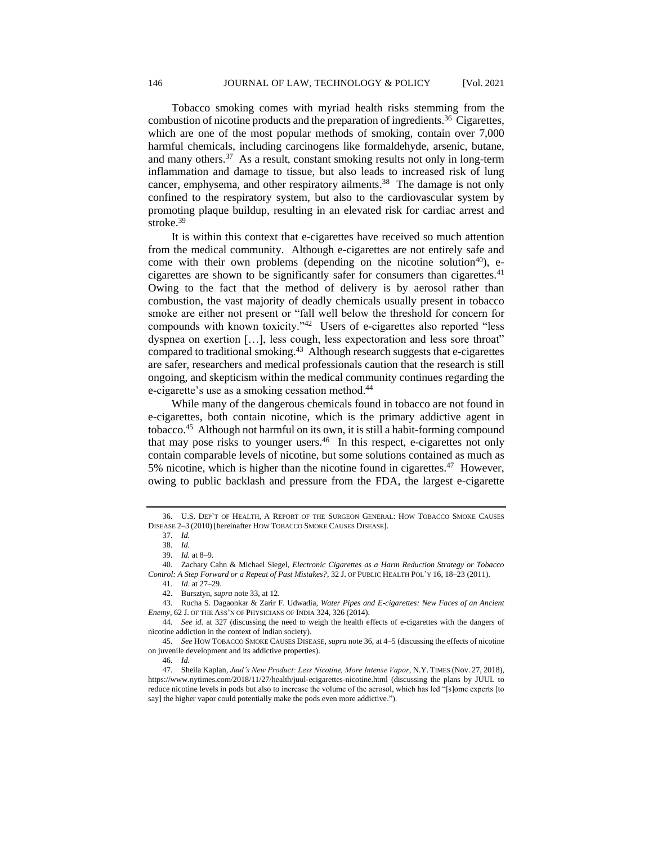Tobacco smoking comes with myriad health risks stemming from the combustion of nicotine products and the preparation of ingredients.<sup>36</sup> Cigarettes, which are one of the most popular methods of smoking, contain over 7,000 harmful chemicals, including carcinogens like formaldehyde, arsenic, butane, and many others.<sup>37</sup> As a result, constant smoking results not only in long-term inflammation and damage to tissue, but also leads to increased risk of lung cancer, emphysema, and other respiratory ailments.<sup>38</sup> The damage is not only confined to the respiratory system, but also to the cardiovascular system by promoting plaque buildup, resulting in an elevated risk for cardiac arrest and stroke.<sup>39</sup>

It is within this context that e-cigarettes have received so much attention from the medical community. Although e-cigarettes are not entirely safe and come with their own problems (depending on the nicotine solution<sup>40</sup>), ecigarettes are shown to be significantly safer for consumers than cigarettes.<sup>41</sup> Owing to the fact that the method of delivery is by aerosol rather than combustion, the vast majority of deadly chemicals usually present in tobacco smoke are either not present or "fall well below the threshold for concern for compounds with known toxicity."<sup>42</sup> Users of e-cigarettes also reported "less dyspnea on exertion […], less cough, less expectoration and less sore throat" compared to traditional smoking.<sup>43</sup> Although research suggests that e-cigarettes are safer, researchers and medical professionals caution that the research is still ongoing, and skepticism within the medical community continues regarding the e-cigarette's use as a smoking cessation method.<sup>44</sup>

While many of the dangerous chemicals found in tobacco are not found in e-cigarettes, both contain nicotine, which is the primary addictive agent in tobacco.<sup>45</sup> Although not harmful on its own, it is still a habit-forming compound that may pose risks to younger users.<sup>46</sup> In this respect, e-cigarettes not only contain comparable levels of nicotine, but some solutions contained as much as 5% nicotine, which is higher than the nicotine found in cigarettes.<sup>47</sup> However, owing to public backlash and pressure from the FDA, the largest e-cigarette

<sup>36.</sup> U.S. DEP'T OF HEALTH, A REPORT OF THE SURGEON GENERAL: HOW TOBACCO SMOKE CAUSES DISEASE 2–3 (2010) [hereinafter HOW TOBACCO SMOKE CAUSES DISEASE].

<sup>37.</sup> *Id.*

<sup>38.</sup> *Id.*

<sup>39.</sup> *Id.* at 8–9.

<sup>40.</sup> Zachary Cahn & Michael Siegel, *Electronic Cigarettes as a Harm Reduction Strategy or Tobacco Control: A Step Forward or a Repeat of Past Mistakes?*, 32 J. OF PUBLIC HEALTH POL'Y 16, 18–23 (2011).

<sup>41.</sup> *Id.* at 27–29.

<sup>42.</sup> Bursztyn, *supra* note 33, at 12.

<sup>43.</sup> Rucha S. Dagaonkar & Zarir F. Udwadia, *Water Pipes and E-cigarettes: New Faces of an Ancient Enemy*, 62 J. OF THE ASS'N OF PHYSICIANS OF INDIA 324, 326 (2014).

<sup>44</sup>*. See id.* at 327 (discussing the need to weigh the health effects of e-cigarettes with the dangers of nicotine addiction in the context of Indian society).

<sup>45</sup>*. See* HOW TOBACCO SMOKE CAUSES DISEASE, *supra* note 36, at 4–5 (discussing the effects of nicotine on juvenile development and its addictive properties).

<sup>46</sup>*. Id.*

<sup>47.</sup> Sheila Kaplan, *Juul's New Product: Less Nicotine, More Intense Vapor*, N.Y. TIMES (Nov. 27, 2018), https://www.nytimes.com/2018/11/27/health/juul-ecigarettes-nicotine.html (discussing the plans by JUUL to reduce nicotine levels in pods but also to increase the volume of the aerosol, which has led "[s]ome experts [to say] the higher vapor could potentially make the pods even more addictive.").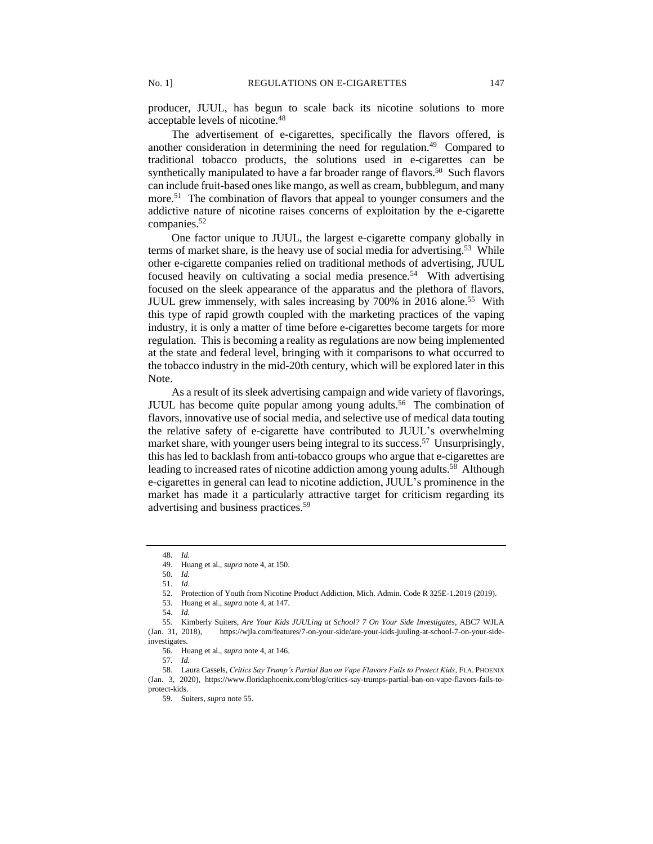producer, JUUL, has begun to scale back its nicotine solutions to more acceptable levels of nicotine.<sup>48</sup>

The advertisement of e-cigarettes, specifically the flavors offered, is another consideration in determining the need for regulation.<sup>49</sup> Compared to traditional tobacco products, the solutions used in e-cigarettes can be synthetically manipulated to have a far broader range of flavors.<sup>50</sup> Such flavors can include fruit-based ones like mango, as well as cream, bubblegum, and many more.<sup>51</sup> The combination of flavors that appeal to younger consumers and the addictive nature of nicotine raises concerns of exploitation by the e-cigarette companies.<sup>52</sup>

One factor unique to JUUL, the largest e-cigarette company globally in terms of market share, is the heavy use of social media for advertising.<sup>53</sup> While other e-cigarette companies relied on traditional methods of advertising, JUUL focused heavily on cultivating a social media presence.<sup>54</sup> With advertising focused on the sleek appearance of the apparatus and the plethora of flavors, JUUL grew immensely, with sales increasing by 700% in 2016 alone.<sup>55</sup> With this type of rapid growth coupled with the marketing practices of the vaping industry, it is only a matter of time before e-cigarettes become targets for more regulation. This is becoming a reality as regulations are now being implemented at the state and federal level, bringing with it comparisons to what occurred to the tobacco industry in the mid-20th century, which will be explored later in this Note.

As a result of its sleek advertising campaign and wide variety of flavorings, JUUL has become quite popular among young adults.<sup>56</sup> The combination of flavors, innovative use of social media, and selective use of medical data touting the relative safety of e-cigarette have contributed to JUUL's overwhelming market share, with younger users being integral to its success.<sup>57</sup> Unsurprisingly, this has led to backlash from anti-tobacco groups who argue that e-cigarettes are leading to increased rates of nicotine addiction among young adults.<sup>58</sup> Although e-cigarettes in general can lead to nicotine addiction, JUUL's prominence in the market has made it a particularly attractive target for criticism regarding its advertising and business practices.<sup>59</sup>

50*. Id.*

51*. Id.*

53. Huang et al., *supra* note 4, at 147.

55. Kimberly Suiters, *Are Your Kids JUULing at School? 7 On Your Side Investigates*, ABC7 WJLA (Jan. 31, 2018), https://wjla.com/features/7-on-your-side/are-your-kids-juuling-at-school-7-on-your-sideinvestigates.

56. Huang et al., *supra* note 4, at 146.

57*. Id.*

<sup>48</sup>*. Id.*

<sup>49.</sup> Huang et al., *supra* note 4, at 150.

<sup>52.</sup> Protection of Youth from Nicotine Product Addiction, Mich. Admin. Code R 325E-1.2019 (2019).

<sup>54</sup>*. Id.*

<sup>58.</sup> Laura Cassels, *Critics Say Trump's Partial Ban on Vape Flavors Fails to Protect Kids*, FLA. PHOENIX (Jan. 3, 2020), https://www.floridaphoenix.com/blog/critics-say-trumps-partial-ban-on-vape-flavors-fails-toprotect-kids.

<sup>59.</sup> Suiters, *supra* note 55.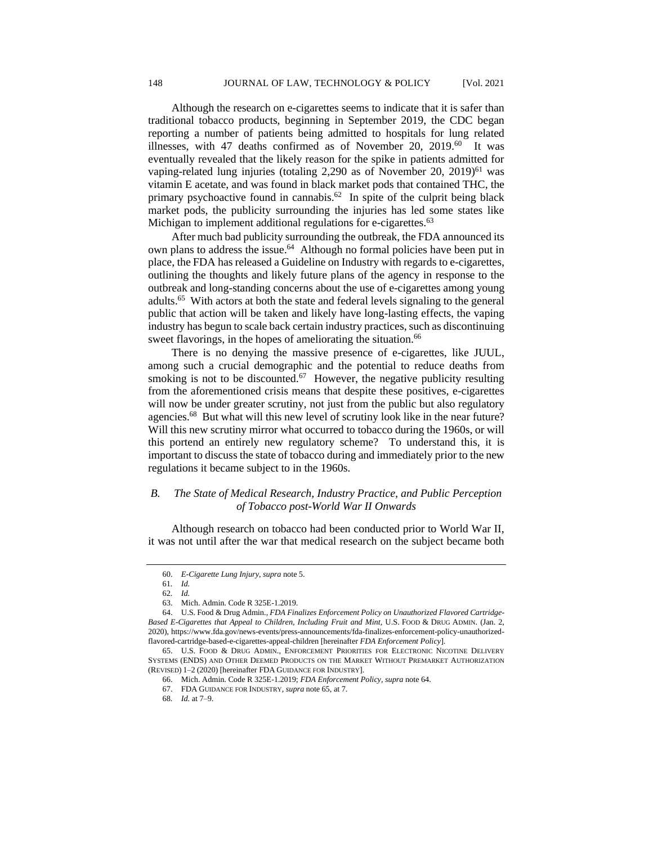Although the research on e-cigarettes seems to indicate that it is safer than traditional tobacco products, beginning in September 2019, the CDC began reporting a number of patients being admitted to hospitals for lung related illnesses, with 47 deaths confirmed as of November 20, 2019.<sup>60</sup> It was eventually revealed that the likely reason for the spike in patients admitted for vaping-related lung injuries (totaling  $2,290$  as of November  $20, 2019)^{61}$  was vitamin E acetate, and was found in black market pods that contained THC, the primary psychoactive found in cannabis.<sup>62</sup> In spite of the culprit being black market pods, the publicity surrounding the injuries has led some states like Michigan to implement additional regulations for e-cigarettes.<sup>63</sup>

After much bad publicity surrounding the outbreak, the FDA announced its own plans to address the issue.<sup>64</sup> Although no formal policies have been put in place, the FDA has released a Guideline on Industry with regards to e-cigarettes, outlining the thoughts and likely future plans of the agency in response to the outbreak and long-standing concerns about the use of e-cigarettes among young adults.<sup>65</sup> With actors at both the state and federal levels signaling to the general public that action will be taken and likely have long-lasting effects, the vaping industry has begun to scale back certain industry practices, such as discontinuing sweet flavorings, in the hopes of ameliorating the situation.<sup>66</sup>

There is no denying the massive presence of e-cigarettes, like JUUL, among such a crucial demographic and the potential to reduce deaths from smoking is not to be discounted. $67$  However, the negative publicity resulting from the aforementioned crisis means that despite these positives, e-cigarettes will now be under greater scrutiny, not just from the public but also regulatory agencies.<sup>68</sup> But what will this new level of scrutiny look like in the near future? Will this new scrutiny mirror what occurred to tobacco during the 1960s, or will this portend an entirely new regulatory scheme? To understand this, it is important to discuss the state of tobacco during and immediately prior to the new regulations it became subject to in the 1960s.

## *B. The State of Medical Research, Industry Practice, and Public Perception of Tobacco post-World War II Onwards*

Although research on tobacco had been conducted prior to World War II, it was not until after the war that medical research on the subject became both

<sup>60.</sup> *E-Cigarette Lung Injury*, *supra* note 5.

<sup>61</sup>*. Id.*

<sup>62</sup>*. Id.*

<sup>63.</sup> Mich. Admin. Code R 325E-1.2019.

<sup>64.</sup> U.S. Food & Drug Admin., *FDA Finalizes Enforcement Policy on Unauthorized Flavored Cartridge-Based E-Cigarettes that Appeal to Children, Including Fruit and Mint,* U.S. FOOD & DRUG ADMIN. (Jan. 2, 2020), https://www.fda.gov/news-events/press-announcements/fda-finalizes-enforcement-policy-unauthorizedflavored-cartridge-based-e-cigarettes-appeal-children [hereinafter *FDA Enforcement Policy*].

<sup>65.</sup> U.S. FOOD & DRUG ADMIN., ENFORCEMENT PRIORITIES FOR ELECTRONIC NICOTINE DELIVERY SYSTEMS (ENDS) AND OTHER DEEMED PRODUCTS ON THE MARKET WITHOUT PREMARKET AUTHORIZATION (REVISED) 1–2 (2020) [hereinafter FDA GUIDANCE FOR INDUSTRY].

<sup>66.</sup> Mich. Admin. Code R 325E-1.2019; *FDA Enforcement Policy*, *supra* note 64.

<sup>67.</sup> FDA GUIDANCE FOR INDUSTRY, *supra* note 65, at 7.

<sup>68</sup>*. Id.* at 7–9.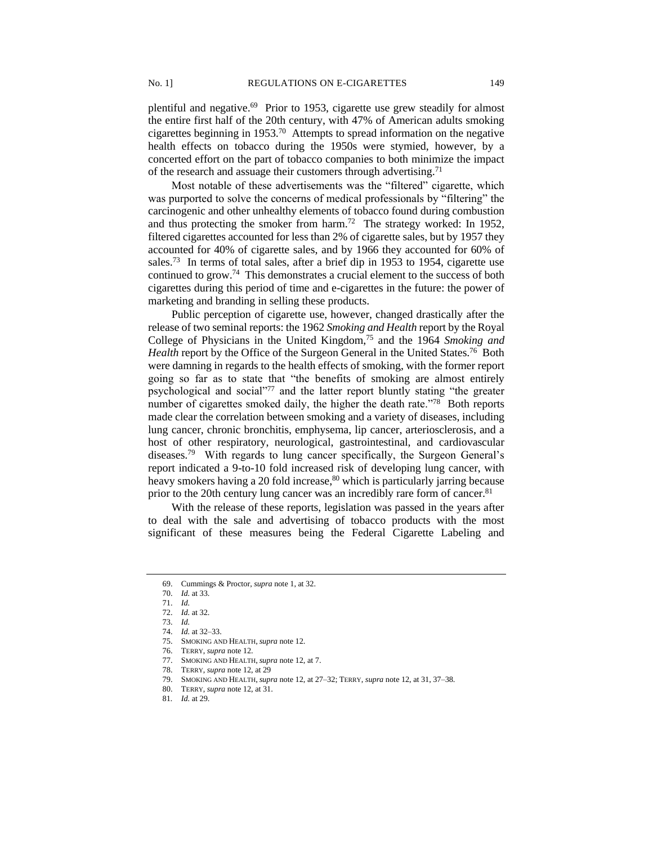plentiful and negative.<sup>69</sup> Prior to 1953, cigarette use grew steadily for almost the entire first half of the 20th century, with 47% of American adults smoking cigarettes beginning in 1953.<sup>70</sup> Attempts to spread information on the negative health effects on tobacco during the 1950s were stymied, however, by a concerted effort on the part of tobacco companies to both minimize the impact of the research and assuage their customers through advertising.<sup>71</sup>

Most notable of these advertisements was the "filtered" cigarette, which was purported to solve the concerns of medical professionals by "filtering" the carcinogenic and other unhealthy elements of tobacco found during combustion and thus protecting the smoker from harm.<sup>72</sup> The strategy worked: In 1952, filtered cigarettes accounted for less than 2% of cigarette sales, but by 1957 they accounted for 40% of cigarette sales, and by 1966 they accounted for 60% of sales.<sup>73</sup> In terms of total sales, after a brief dip in 1953 to 1954, cigarette use continued to grow.<sup>74</sup> This demonstrates a crucial element to the success of both cigarettes during this period of time and e-cigarettes in the future: the power of marketing and branding in selling these products.

Public perception of cigarette use, however, changed drastically after the release of two seminal reports: the 1962 *Smoking and Health* report by the Royal College of Physicians in the United Kingdom,<sup>75</sup> and the 1964 *Smoking and*  Health report by the Office of the Surgeon General in the United States.<sup>76</sup> Both were damning in regards to the health effects of smoking, with the former report going so far as to state that "the benefits of smoking are almost entirely psychological and social"<sup>77</sup> and the latter report bluntly stating "the greater number of cigarettes smoked daily, the higher the death rate."<sup>78</sup> Both reports made clear the correlation between smoking and a variety of diseases, including lung cancer, chronic bronchitis, emphysema, lip cancer, arteriosclerosis, and a host of other respiratory, neurological, gastrointestinal, and cardiovascular diseases.<sup>79</sup> With regards to lung cancer specifically, the Surgeon General's report indicated a 9-to-10 fold increased risk of developing lung cancer, with heavy smokers having a 20 fold increase,<sup>80</sup> which is particularly jarring because prior to the 20th century lung cancer was an incredibly rare form of cancer.<sup>81</sup>

With the release of these reports, legislation was passed in the years after to deal with the sale and advertising of tobacco products with the most significant of these measures being the Federal Cigarette Labeling and

<sup>69.</sup> Cummings & Proctor, *supra* note 1, at 32.

<sup>70.</sup> *Id.* at 33.

<sup>71.</sup> *Id.*

<sup>72.</sup> *Id.* at 32.

<sup>73.</sup> *Id.*

<sup>74.</sup> *Id.* at 32–33.

<sup>75.</sup> SMOKING AND HEALTH,*supra* note 12.

<sup>76.</sup> TERRY, *supra* note 12.

<sup>77.</sup> SMOKING AND HEALTH,*supra* note 12, at 7.

<sup>78.</sup> TERRY, *supra* note 12, at 29

<sup>79.</sup> SMOKING AND HEALTH,*supra* note 12, at 27–32; TERRY, *supra* note 12, at 31, 37–38.

<sup>80.</sup> TERRY, *supra* note 12, at 31.

<sup>81</sup>*. Id.* at 29.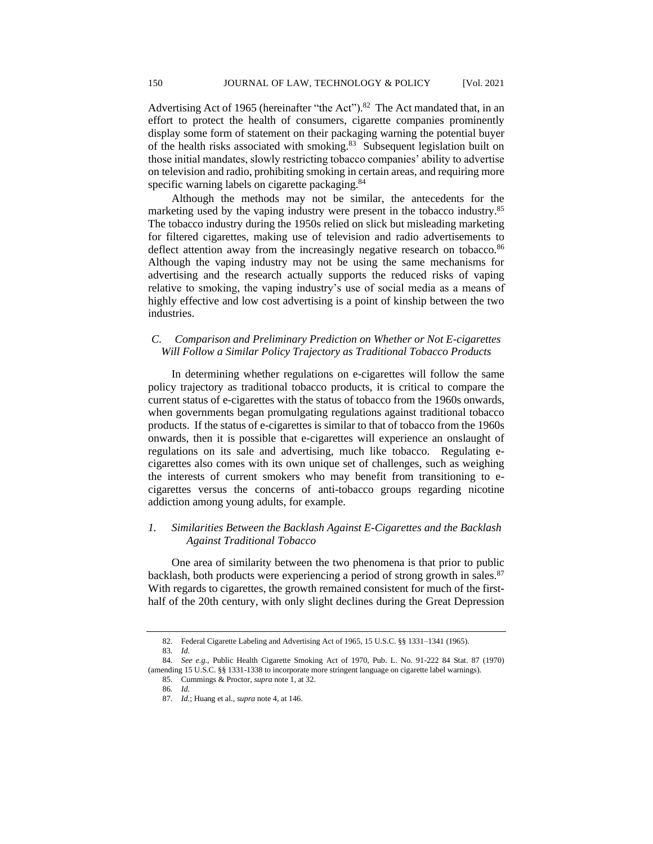Advertising Act of 1965 (hereinafter "the Act").<sup>82</sup> The Act mandated that, in an effort to protect the health of consumers, cigarette companies prominently display some form of statement on their packaging warning the potential buyer of the health risks associated with smoking.<sup>83</sup> Subsequent legislation built on those initial mandates, slowly restricting tobacco companies' ability to advertise on television and radio, prohibiting smoking in certain areas, and requiring more specific warning labels on cigarette packaging.<sup>84</sup>

Although the methods may not be similar, the antecedents for the marketing used by the vaping industry were present in the tobacco industry.<sup>85</sup> The tobacco industry during the 1950s relied on slick but misleading marketing for filtered cigarettes, making use of television and radio advertisements to deflect attention away from the increasingly negative research on tobacco.<sup>86</sup> Although the vaping industry may not be using the same mechanisms for advertising and the research actually supports the reduced risks of vaping relative to smoking, the vaping industry's use of social media as a means of highly effective and low cost advertising is a point of kinship between the two industries.

# *C. Comparison and Preliminary Prediction on Whether or Not E-cigarettes Will Follow a Similar Policy Trajectory as Traditional Tobacco Products*

In determining whether regulations on e-cigarettes will follow the same policy trajectory as traditional tobacco products, it is critical to compare the current status of e-cigarettes with the status of tobacco from the 1960s onwards, when governments began promulgating regulations against traditional tobacco products. If the status of e-cigarettes is similar to that of tobacco from the 1960s onwards, then it is possible that e-cigarettes will experience an onslaught of regulations on its sale and advertising, much like tobacco. Regulating ecigarettes also comes with its own unique set of challenges, such as weighing the interests of current smokers who may benefit from transitioning to ecigarettes versus the concerns of anti-tobacco groups regarding nicotine addiction among young adults, for example.

# *1. Similarities Between the Backlash Against E-Cigarettes and the Backlash Against Traditional Tobacco*

One area of similarity between the two phenomena is that prior to public backlash, both products were experiencing a period of strong growth in sales.<sup>87</sup> With regards to cigarettes, the growth remained consistent for much of the firsthalf of the 20th century, with only slight declines during the Great Depression

<sup>82.</sup> Federal Cigarette Labeling and Advertising Act of 1965, 15 U.S.C. §§ 1331–1341 (1965). 83*. Id.*

<sup>84</sup>*. See e.g.,* Public Health Cigarette Smoking Act of 1970, Pub. L. No. 91-222 84 Stat. 87 (1970) (amending 15 U.S.C. §§ 1331-1338 to incorporate more stringent language on cigarette label warnings). 85. Cummings & Proctor, *supra* note 1, at 32.

<sup>86</sup>*. Id.*

<sup>87</sup>*. Id.*; Huang et al., *supra* note 4, at 146.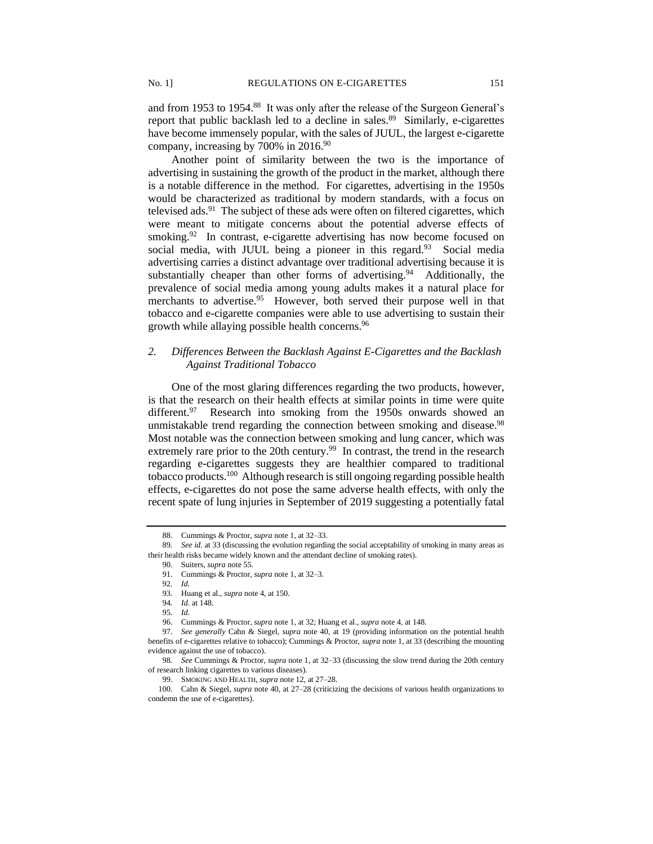and from 1953 to 1954.<sup>88</sup> It was only after the release of the Surgeon General's report that public backlash led to a decline in sales.<sup>89</sup> Similarly, e-cigarettes have become immensely popular, with the sales of JUUL, the largest e-cigarette company, increasing by 700% in 2016.<sup>90</sup>

Another point of similarity between the two is the importance of advertising in sustaining the growth of the product in the market, although there is a notable difference in the method. For cigarettes, advertising in the 1950s would be characterized as traditional by modern standards, with a focus on televised ads. $91$  The subject of these ads were often on filtered cigarettes, which were meant to mitigate concerns about the potential adverse effects of smoking.<sup>92</sup> In contrast, e-cigarette advertising has now become focused on social media, with JUUL being a pioneer in this regard.<sup>93</sup> Social media advertising carries a distinct advantage over traditional advertising because it is substantially cheaper than other forms of advertising.<sup>94</sup> Additionally, the prevalence of social media among young adults makes it a natural place for merchants to advertise.<sup>95</sup> However, both served their purpose well in that tobacco and e-cigarette companies were able to use advertising to sustain their growth while allaying possible health concerns.<sup>96</sup>

## *2. Differences Between the Backlash Against E-Cigarettes and the Backlash Against Traditional Tobacco*

One of the most glaring differences regarding the two products, however, is that the research on their health effects at similar points in time were quite different.<sup>97</sup> Research into smoking from the 1950s onwards showed an unmistakable trend regarding the connection between smoking and disease.<sup>98</sup> Most notable was the connection between smoking and lung cancer, which was extremely rare prior to the 20th century.<sup>99</sup> In contrast, the trend in the research regarding e-cigarettes suggests they are healthier compared to traditional tobacco products.<sup>100</sup> Although research is still ongoing regarding possible health effects, e-cigarettes do not pose the same adverse health effects, with only the recent spate of lung injuries in September of 2019 suggesting a potentially fatal

<sup>88.</sup> Cummings & Proctor, *supra* note 1, at 32–33.

<sup>89</sup>*. See id.* at 33 (discussing the evolution regarding the social acceptability of smoking in many areas as their health risks became widely known and the attendant decline of smoking rates).

<sup>90.</sup> Suiters, *supra* note 55.

<sup>91.</sup> Cummings & Proctor, *supra* note 1, at 32–3.

<sup>92</sup>*. Id.*

<sup>93.</sup> Huang et al., *supra* note 4, at 150.

<sup>94</sup>*. Id.* at 148.

<sup>95</sup>*. Id.*

<sup>96.</sup> Cummings & Proctor, *supra* note 1, at 32; Huang et al., *supra* note 4, at 148.

<sup>97</sup>*. See generally* Cahn & Siegel, *supra* note 40, at 19 (providing information on the potential health benefits of e-cigarettes relative to tobacco); Cummings & Proctor, *supra* note 1, at 33 (describing the mounting evidence against the use of tobacco).

<sup>98</sup>*. See* Cummings & Proctor, *supra* note 1, at 32–33 (discussing the slow trend during the 20th century of research linking cigarettes to various diseases).

<sup>99.</sup> SMOKING AND HEALTH, *supra* note 12, at 27–28.

<sup>100.</sup> Cahn & Siegel, *supra* note 40, at 27–28 (criticizing the decisions of various health organizations to condemn the use of e-cigarettes).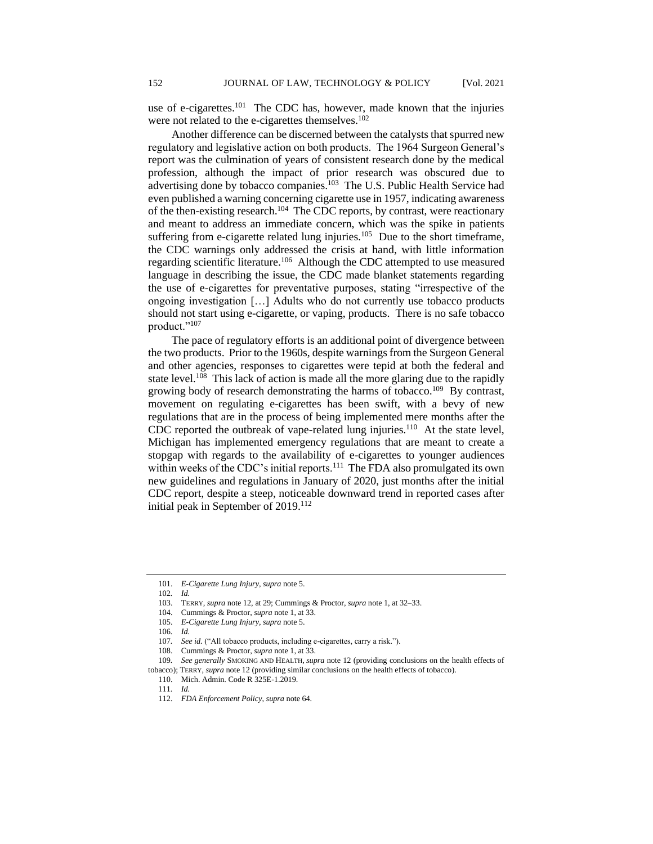use of e-cigarettes.<sup>101</sup> The CDC has, however, made known that the injuries were not related to the e-cigarettes themselves.<sup>102</sup>

Another difference can be discerned between the catalysts that spurred new regulatory and legislative action on both products. The 1964 Surgeon General's report was the culmination of years of consistent research done by the medical profession, although the impact of prior research was obscured due to advertising done by tobacco companies.<sup>103</sup> The U.S. Public Health Service had even published a warning concerning cigarette use in 1957, indicating awareness of the then-existing research.<sup>104</sup> The CDC reports, by contrast, were reactionary and meant to address an immediate concern, which was the spike in patients suffering from e-cigarette related lung injuries.<sup>105</sup> Due to the short timeframe, the CDC warnings only addressed the crisis at hand, with little information regarding scientific literature.<sup>106</sup> Although the CDC attempted to use measured language in describing the issue, the CDC made blanket statements regarding the use of e-cigarettes for preventative purposes, stating "irrespective of the ongoing investigation […] Adults who do not currently use tobacco products should not start using e-cigarette, or vaping, products. There is no safe tobacco product."<sup>107</sup>

The pace of regulatory efforts is an additional point of divergence between the two products. Prior to the 1960s, despite warningsfrom the Surgeon General and other agencies, responses to cigarettes were tepid at both the federal and state level.<sup>108</sup> This lack of action is made all the more glaring due to the rapidly growing body of research demonstrating the harms of tobacco.<sup>109</sup> By contrast, movement on regulating e-cigarettes has been swift, with a bevy of new regulations that are in the process of being implemented mere months after the CDC reported the outbreak of vape-related lung injuries.<sup>110</sup> At the state level, Michigan has implemented emergency regulations that are meant to create a stopgap with regards to the availability of e-cigarettes to younger audiences within weeks of the CDC's initial reports.<sup>111</sup> The FDA also promulgated its own new guidelines and regulations in January of 2020, just months after the initial CDC report, despite a steep, noticeable downward trend in reported cases after initial peak in September of 2019.<sup>112</sup>

105. *E-Cigarette Lung Injury*, *supra* note 5.

<sup>101.</sup> *E-Cigarette Lung Injury*, *supra* note 5.

<sup>102</sup>*. Id.*

<sup>103.</sup> TERRY, *supra* note 12, at 29; Cummings & Proctor, *supra* note 1, at 32–33.

<sup>104.</sup> Cummings & Proctor, *supra* note 1, at 33.

<sup>106</sup>*. Id.*

<sup>107</sup>*. See id.* ("All tobacco products, including e-cigarettes, carry a risk.").

<sup>108.</sup> Cummings & Proctor, *supra* note 1, at 33.

<sup>109</sup>*. See generally* SMOKING AND HEALTH, *supra* note 12 (providing conclusions on the health effects of

tobacco); TERRY, *supra* note 12 (providing similar conclusions on the health effects of tobacco).

<sup>110.</sup> Mich. Admin. Code R 325E-1.2019.

<sup>111</sup>*. Id.*

<sup>112.</sup> *FDA Enforcement Policy*, *supra* note 64.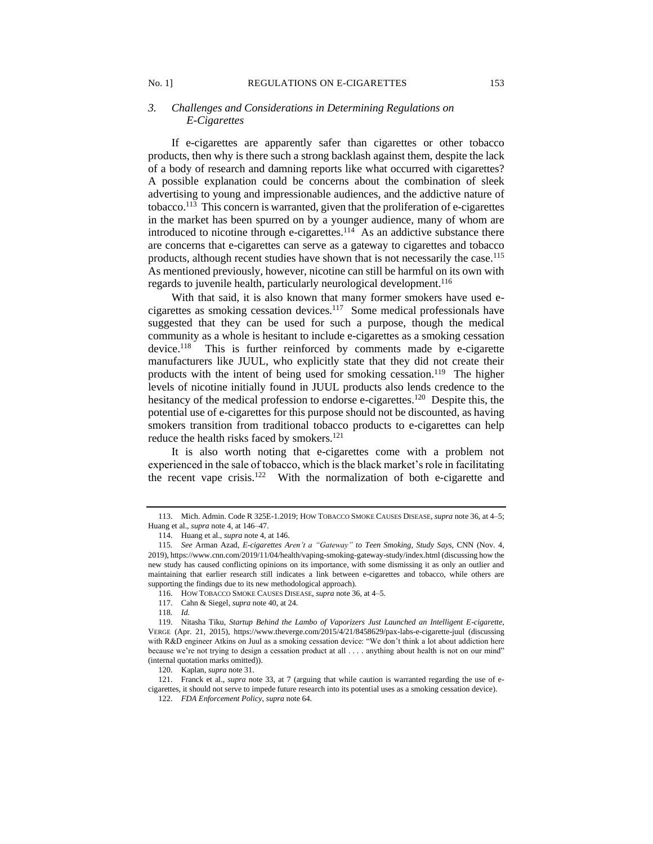#### No. 1] REGULATIONS ON E-CIGARETTES 153

## *3. Challenges and Considerations in Determining Regulations on E-Cigarettes*

If e-cigarettes are apparently safer than cigarettes or other tobacco products, then why is there such a strong backlash against them, despite the lack of a body of research and damning reports like what occurred with cigarettes? A possible explanation could be concerns about the combination of sleek advertising to young and impressionable audiences, and the addictive nature of tobacco.<sup>113</sup> This concern is warranted, given that the proliferation of e-cigarettes in the market has been spurred on by a younger audience, many of whom are introduced to nicotine through e-cigarettes.<sup>114</sup> As an addictive substance there are concerns that e-cigarettes can serve as a gateway to cigarettes and tobacco products, although recent studies have shown that is not necessarily the case.<sup>115</sup> As mentioned previously, however, nicotine can still be harmful on its own with regards to juvenile health, particularly neurological development.<sup>116</sup>

With that said, it is also known that many former smokers have used ecigarettes as smoking cessation devices.<sup>117</sup> Some medical professionals have suggested that they can be used for such a purpose, though the medical community as a whole is hesitant to include e-cigarettes as a smoking cessation device.<sup>118</sup> This is further reinforced by comments made by e-cigarette manufacturers like JUUL, who explicitly state that they did not create their products with the intent of being used for smoking cessation.<sup>119</sup> The higher levels of nicotine initially found in JUUL products also lends credence to the hesitancy of the medical profession to endorse e-cigarettes.<sup>120</sup> Despite this, the potential use of e-cigarettes for this purpose should not be discounted, as having smokers transition from traditional tobacco products to e-cigarettes can help reduce the health risks faced by smokers.<sup>121</sup>

It is also worth noting that e-cigarettes come with a problem not experienced in the sale of tobacco, which is the black market's role in facilitating the recent vape crisis.<sup>122</sup> With the normalization of both e-cigarette and

<sup>113.</sup> Mich. Admin. Code R 325E-1.2019; HOW TOBACCO SMOKE CAUSES DISEASE, *supra* note 36, at 4–5; Huang et al., *supra* note 4, at 146–47.

<sup>114.</sup> Huang et al., *supra* note 4, at 146.

<sup>115</sup>*. See* Arman Azad, *E-cigarettes Aren't a "Gateway" to Teen Smoking, Study Says*, CNN (Nov. 4, 2019), https://www.cnn.com/2019/11/04/health/vaping-smoking-gateway-study/index.html (discussing how the new study has caused conflicting opinions on its importance, with some dismissing it as only an outlier and maintaining that earlier research still indicates a link between e-cigarettes and tobacco, while others are supporting the findings due to its new methodological approach).

<sup>116.</sup> HOW TOBACCO SMOKE CAUSES DISEASE, *supra* note 36, at 4–5.

<sup>117.</sup> Cahn & Siegel, *supra* note 40, at 24.

<sup>118</sup>*. Id.*

<sup>119.</sup> Nitasha Tiku, *Startup Behind the Lambo of Vaporizers Just Launched an Intelligent E-cigarette*, VERGE (Apr. 21, 2015), https://www.theverge.com/2015/4/21/8458629/pax-labs-e-cigarette-juul (discussing with R&D engineer Atkins on Juul as a smoking cessation device: "We don't think a lot about addiction here because we're not trying to design a cessation product at all . . . . anything about health is not on our mind" (internal quotation marks omitted)).

<sup>120.</sup> Kaplan, *supra* note 31.

<sup>121.</sup> Franck et al., *supra* note 33, at 7 (arguing that while caution is warranted regarding the use of ecigarettes, it should not serve to impede future research into its potential uses as a smoking cessation device).

<sup>122.</sup> *FDA Enforcement Policy*, *supra* note 64.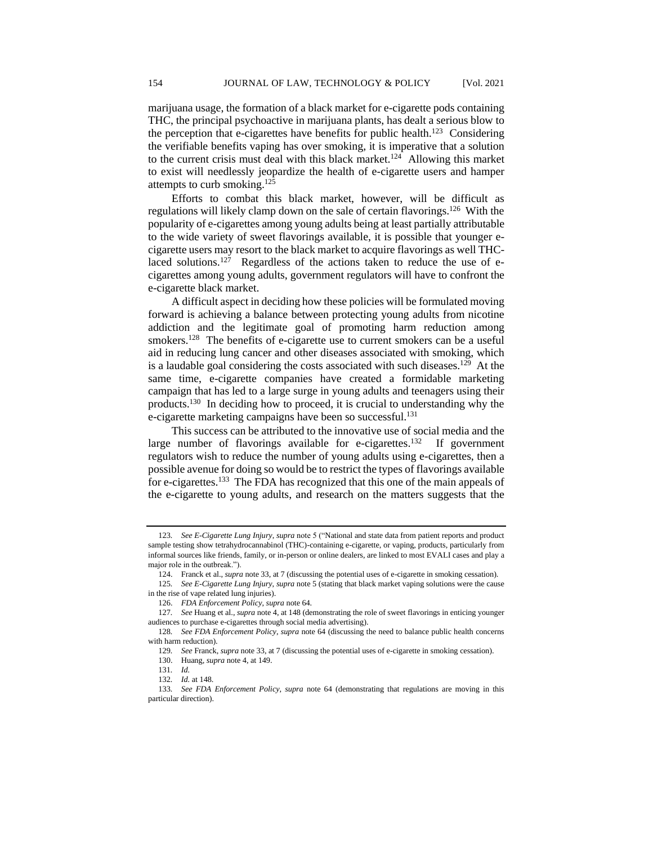marijuana usage, the formation of a black market for e-cigarette pods containing THC, the principal psychoactive in marijuana plants, has dealt a serious blow to the perception that e-cigarettes have benefits for public health.<sup>123</sup> Considering the verifiable benefits vaping has over smoking, it is imperative that a solution to the current crisis must deal with this black market.<sup>124</sup> Allowing this market to exist will needlessly jeopardize the health of e-cigarette users and hamper attempts to curb smoking.<sup>125</sup>

Efforts to combat this black market, however, will be difficult as regulations will likely clamp down on the sale of certain flavorings.<sup>126</sup> With the popularity of e-cigarettes among young adults being at least partially attributable to the wide variety of sweet flavorings available, it is possible that younger ecigarette users may resort to the black market to acquire flavorings as well THClaced solutions.<sup>127</sup> Regardless of the actions taken to reduce the use of ecigarettes among young adults, government regulators will have to confront the e-cigarette black market.

A difficult aspect in deciding how these policies will be formulated moving forward is achieving a balance between protecting young adults from nicotine addiction and the legitimate goal of promoting harm reduction among smokers.<sup>128</sup> The benefits of e-cigarette use to current smokers can be a useful aid in reducing lung cancer and other diseases associated with smoking, which is a laudable goal considering the costs associated with such diseases.<sup>129</sup> At the same time, e-cigarette companies have created a formidable marketing campaign that has led to a large surge in young adults and teenagers using their products.<sup>130</sup> In deciding how to proceed, it is crucial to understanding why the e-cigarette marketing campaigns have been so successful.<sup>131</sup>

This success can be attributed to the innovative use of social media and the large number of flavorings available for e-cigarettes.<sup>132</sup> If government regulators wish to reduce the number of young adults using e-cigarettes, then a possible avenue for doing so would be to restrict the types of flavorings available for e-cigarettes.<sup>133</sup> The FDA has recognized that this one of the main appeals of the e-cigarette to young adults, and research on the matters suggests that the

<sup>123</sup>*. See E-Cigarette Lung Injury*, *supra* note 5 ("National and state data from patient reports and product sample testing show tetrahydrocannabinol (THC)-containing e-cigarette, or vaping, products, particularly from informal sources like friends, family, or in-person or online dealers, are linked to most EVALI cases and play a major role in the outbreak.").

<sup>124.</sup> Franck et al., *supra* note 33, at 7 (discussing the potential uses of e-cigarette in smoking cessation).

<sup>125</sup>*. See E-Cigarette Lung Injury*, *supra* note 5 (stating that black market vaping solutions were the cause in the rise of vape related lung injuries).

<sup>126.</sup> *FDA Enforcement Policy*, *supra* note 64.

<sup>127</sup>*. See* Huang et al., *supra* note 4, at 148 (demonstrating the role of sweet flavorings in enticing younger audiences to purchase e-cigarettes through social media advertising).

<sup>128</sup>*. See FDA Enforcement Policy*, *supra* note 64 (discussing the need to balance public health concerns with harm reduction).

<sup>129</sup>*. See* Franck, *supra* note 33, at 7 (discussing the potential uses of e-cigarette in smoking cessation).

<sup>130.</sup> Huang, *supra* note 4, at 149.

<sup>131</sup>*. Id.*

<sup>132</sup>*. Id.* at 148.

<sup>133</sup>*. See FDA Enforcement Policy*, *supra* note 64 (demonstrating that regulations are moving in this particular direction).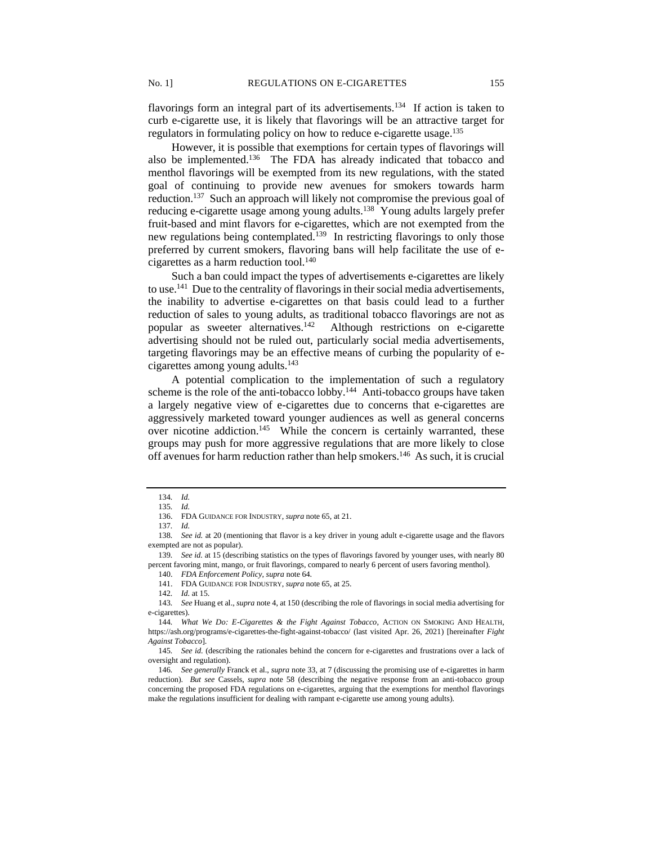flavorings form an integral part of its advertisements.<sup>134</sup> If action is taken to curb e-cigarette use, it is likely that flavorings will be an attractive target for regulators in formulating policy on how to reduce e-cigarette usage.<sup>135</sup>

However, it is possible that exemptions for certain types of flavorings will also be implemented.<sup>136</sup> The FDA has already indicated that tobacco and menthol flavorings will be exempted from its new regulations, with the stated goal of continuing to provide new avenues for smokers towards harm reduction.<sup>137</sup> Such an approach will likely not compromise the previous goal of reducing e-cigarette usage among young adults.<sup>138</sup> Young adults largely prefer fruit-based and mint flavors for e-cigarettes, which are not exempted from the new regulations being contemplated.<sup>139</sup> In restricting flavorings to only those preferred by current smokers, flavoring bans will help facilitate the use of ecigarettes as a harm reduction tool. $140$ 

Such a ban could impact the types of advertisements e-cigarettes are likely to use.<sup>141</sup> Due to the centrality of flavorings in their social media advertisements, the inability to advertise e-cigarettes on that basis could lead to a further reduction of sales to young adults, as traditional tobacco flavorings are not as popular as sweeter alternatives.<sup>142</sup> Although restrictions on e-cigarette advertising should not be ruled out, particularly social media advertisements, targeting flavorings may be an effective means of curbing the popularity of ecigarettes among young adults.<sup>143</sup>

A potential complication to the implementation of such a regulatory scheme is the role of the anti-tobacco lobby.<sup>144</sup> Anti-tobacco groups have taken a largely negative view of e-cigarettes due to concerns that e-cigarettes are aggressively marketed toward younger audiences as well as general concerns over nicotine addiction.<sup>145</sup> While the concern is certainly warranted, these groups may push for more aggressive regulations that are more likely to close off avenues for harm reduction rather than help smokers.<sup>146</sup> As such, it is crucial

<sup>134</sup>*. Id.*

<sup>135</sup>*. Id.*

<sup>136.</sup> FDA GUIDANCE FOR INDUSTRY, *supra* note 65, at 21.

<sup>137</sup>*. Id.*

<sup>138</sup>*. See id.* at 20 (mentioning that flavor is a key driver in young adult e-cigarette usage and the flavors exempted are not as popular).

<sup>139</sup>*. See id.* at 15 (describing statistics on the types of flavorings favored by younger uses, with nearly 80 percent favoring mint, mango, or fruit flavorings, compared to nearly 6 percent of users favoring menthol).

<sup>140.</sup> *FDA Enforcement Policy*, *supra* note 64.

<sup>141.</sup> FDA GUIDANCE FOR INDUSTRY, *supra* note 65, at 25.

<sup>142</sup>*. Id.* at 15.

<sup>143</sup>*. See* Huang et al., *supra* note 4, at 150 (describing the role of flavorings in social media advertising for e-cigarettes).

<sup>144</sup>*. What We Do: E-Cigarettes & the Fight Against Tobacco*, ACTION ON SMOKING AND HEALTH, https://ash.org/programs/e-cigarettes-the-fight-against-tobacco/ (last visited Apr. 26, 2021) [hereinafter *Fight Against Tobacco*].

<sup>145</sup>*. See id.* (describing the rationales behind the concern for e-cigarettes and frustrations over a lack of oversight and regulation).

<sup>146</sup>*. See generally* Franck et al., *supra* note 33, at 7 (discussing the promising use of e-cigarettes in harm reduction). *But see* Cassels, *supra* note 58 (describing the negative response from an anti-tobacco group concerning the proposed FDA regulations on e-cigarettes, arguing that the exemptions for menthol flavorings make the regulations insufficient for dealing with rampant e-cigarette use among young adults).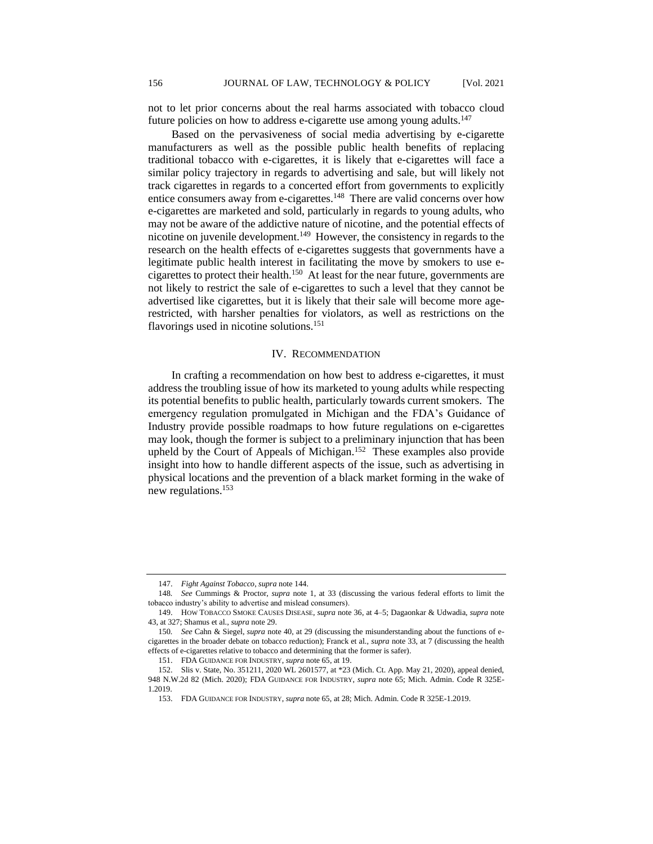not to let prior concerns about the real harms associated with tobacco cloud future policies on how to address e-cigarette use among young adults.<sup>147</sup>

Based on the pervasiveness of social media advertising by e-cigarette manufacturers as well as the possible public health benefits of replacing traditional tobacco with e-cigarettes, it is likely that e-cigarettes will face a similar policy trajectory in regards to advertising and sale, but will likely not track cigarettes in regards to a concerted effort from governments to explicitly entice consumers away from e-cigarettes.<sup>148</sup> There are valid concerns over how e-cigarettes are marketed and sold, particularly in regards to young adults, who may not be aware of the addictive nature of nicotine, and the potential effects of nicotine on juvenile development.<sup>149</sup> However, the consistency in regards to the research on the health effects of e-cigarettes suggests that governments have a legitimate public health interest in facilitating the move by smokers to use ecigarettes to protect their health.<sup>150</sup> At least for the near future, governments are not likely to restrict the sale of e-cigarettes to such a level that they cannot be advertised like cigarettes, but it is likely that their sale will become more agerestricted, with harsher penalties for violators, as well as restrictions on the flavorings used in nicotine solutions.<sup>151</sup>

## IV. RECOMMENDATION

In crafting a recommendation on how best to address e-cigarettes, it must address the troubling issue of how its marketed to young adults while respecting its potential benefits to public health, particularly towards current smokers. The emergency regulation promulgated in Michigan and the FDA's Guidance of Industry provide possible roadmaps to how future regulations on e-cigarettes may look, though the former is subject to a preliminary injunction that has been upheld by the Court of Appeals of Michigan.<sup>152</sup> These examples also provide insight into how to handle different aspects of the issue, such as advertising in physical locations and the prevention of a black market forming in the wake of new regulations.<sup>153</sup>

<sup>147.</sup> *Fight Against Tobacco*, *supra* note 144.

<sup>148</sup>*. See* Cummings & Proctor, *supra* note 1, at 33 (discussing the various federal efforts to limit the tobacco industry's ability to advertise and mislead consumers).

<sup>149.</sup> HOW TOBACCO SMOKE CAUSES DISEASE, *supra* note 36, at 4–5; Dagaonkar & Udwadia, *supra* note 43, at 327; Shamus et al., *supra* note 29.

<sup>150</sup>*. See* Cahn & Siegel, *supra* note 40, at 29 (discussing the misunderstanding about the functions of ecigarettes in the broader debate on tobacco reduction); Franck et al., *supra* note 33, at 7 (discussing the health effects of e-cigarettes relative to tobacco and determining that the former is safer).

<sup>151.</sup> FDA GUIDANCE FOR INDUSTRY, *supra* note 65, at 19.

<sup>152.</sup> Slis v. State, No. 351211, 2020 WL 2601577, at \*23 (Mich. Ct. App. May 21, 2020), appeal denied, 948 N.W.2d 82 (Mich. 2020); FDA GUIDANCE FOR INDUSTRY, *supra* note 65; Mich. Admin. Code R 325E-1.2019.

<sup>153.</sup> FDA GUIDANCE FOR INDUSTRY, *supra* note 65, at 28; Mich. Admin. Code R 325E-1.2019.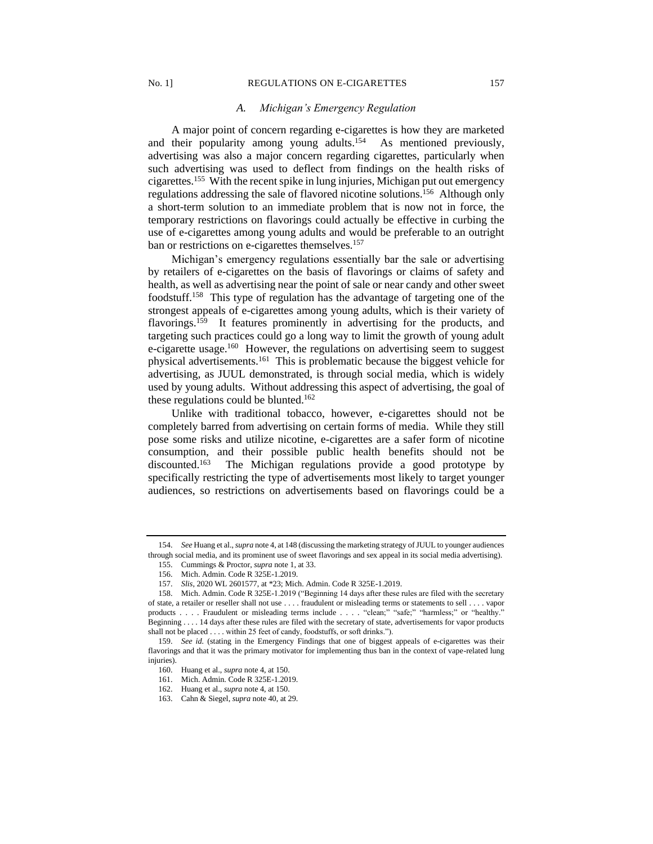## No. 1] REGULATIONS ON E-CIGARETTES 157

#### *A. Michigan's Emergency Regulation*

A major point of concern regarding e-cigarettes is how they are marketed and their popularity among young adults.<sup>154</sup> As mentioned previously, advertising was also a major concern regarding cigarettes, particularly when such advertising was used to deflect from findings on the health risks of cigarettes.<sup>155</sup> With the recent spike in lung injuries, Michigan put out emergency regulations addressing the sale of flavored nicotine solutions.<sup>156</sup> Although only a short-term solution to an immediate problem that is now not in force, the temporary restrictions on flavorings could actually be effective in curbing the use of e-cigarettes among young adults and would be preferable to an outright ban or restrictions on e-cigarettes themselves.<sup>157</sup>

Michigan's emergency regulations essentially bar the sale or advertising by retailers of e-cigarettes on the basis of flavorings or claims of safety and health, as well as advertising near the point of sale or near candy and other sweet foodstuff.<sup>158</sup> This type of regulation has the advantage of targeting one of the strongest appeals of e-cigarettes among young adults, which is their variety of flavorings.<sup>159</sup> It features prominently in advertising for the products, and targeting such practices could go a long way to limit the growth of young adult e-cigarette usage.<sup>160</sup> However, the regulations on advertising seem to suggest physical advertisements.<sup>161</sup> This is problematic because the biggest vehicle for advertising, as JUUL demonstrated, is through social media, which is widely used by young adults. Without addressing this aspect of advertising, the goal of these regulations could be blunted.<sup>162</sup>

Unlike with traditional tobacco, however, e-cigarettes should not be completely barred from advertising on certain forms of media. While they still pose some risks and utilize nicotine, e-cigarettes are a safer form of nicotine consumption, and their possible public health benefits should not be discounted.<sup>163</sup> The Michigan regulations provide a good prototype by specifically restricting the type of advertisements most likely to target younger audiences, so restrictions on advertisements based on flavorings could be a

<sup>154.</sup> *See* Huang et al., *supra* note 4, at 148 (discussing the marketing strategy of JUUL to younger audiences through social media, and its prominent use of sweet flavorings and sex appeal in its social media advertising).

<sup>155.</sup> Cummings & Proctor, *supra* note 1, at 33.

<sup>156.</sup> Mich. Admin. Code R 325E-1.2019.

<sup>157.</sup> *Slis*, 2020 WL 2601577, at \*23; Mich. Admin. Code R 325E-1.2019.

<sup>158.</sup> Mich. Admin. Code R 325E-1.2019 ("Beginning 14 days after these rules are filed with the secretary of state, a retailer or reseller shall not use . . . . fraudulent or misleading terms or statements to sell . . . . vapor products . . . . Fraudulent or misleading terms include . . . . "clean;" "safe;" "harmless;" or "healthy." Beginning . . . . 14 days after these rules are filed with the secretary of state, advertisements for vapor products shall not be placed . . . . within 25 feet of candy, foodstuffs, or soft drinks.").

<sup>159.</sup> *See id.* (stating in the Emergency Findings that one of biggest appeals of e-cigarettes was their flavorings and that it was the primary motivator for implementing thus ban in the context of vape-related lung injuries).

<sup>160.</sup> Huang et al., *supra* note 4, at 150.

<sup>161.</sup> Mich. Admin. Code R 325E-1.2019.

<sup>162.</sup> Huang et al., *supra* note 4, at 150.

<sup>163.</sup> Cahn & Siegel, *supra* note 40, at 29.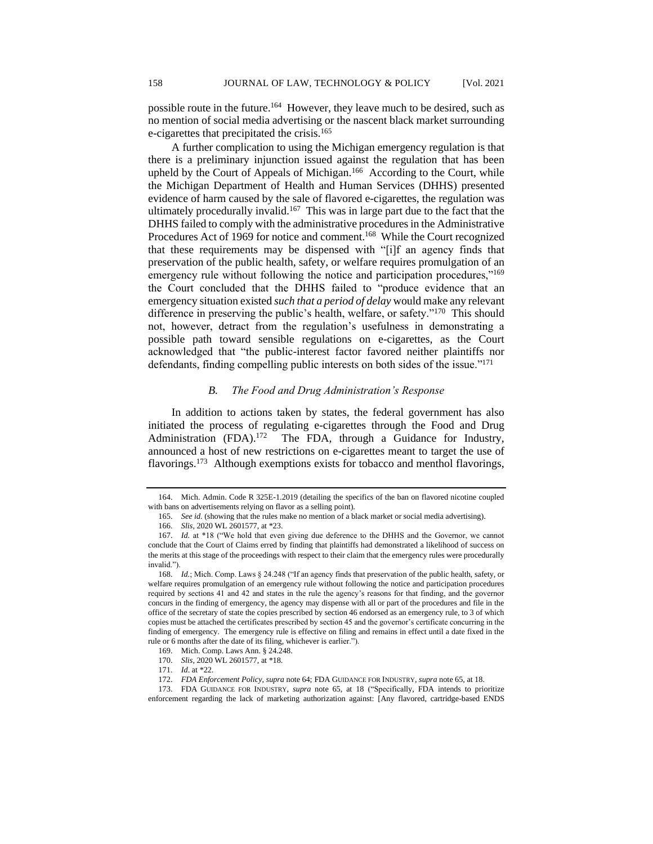possible route in the future.<sup>164</sup> However, they leave much to be desired, such as no mention of social media advertising or the nascent black market surrounding e-cigarettes that precipitated the crisis.<sup>165</sup>

A further complication to using the Michigan emergency regulation is that there is a preliminary injunction issued against the regulation that has been upheld by the Court of Appeals of Michigan.<sup>166</sup> According to the Court, while the Michigan Department of Health and Human Services (DHHS) presented evidence of harm caused by the sale of flavored e-cigarettes, the regulation was ultimately procedurally invalid.<sup>167</sup> This was in large part due to the fact that the DHHS failed to comply with the administrative procedures in the Administrative Procedures Act of 1969 for notice and comment.<sup>168</sup> While the Court recognized that these requirements may be dispensed with "[i]f an agency finds that preservation of the public health, safety, or welfare requires promulgation of an emergency rule without following the notice and participation procedures,"<sup>169</sup> the Court concluded that the DHHS failed to "produce evidence that an emergency situation existed *such that a period of delay* would make any relevant difference in preserving the public's health, welfare, or safety."<sup>170</sup> This should not, however, detract from the regulation's usefulness in demonstrating a possible path toward sensible regulations on e-cigarettes, as the Court acknowledged that "the public-interest factor favored neither plaintiffs nor defendants, finding compelling public interests on both sides of the issue."<sup>171</sup>

### *B. The Food and Drug Administration's Response*

In addition to actions taken by states, the federal government has also initiated the process of regulating e-cigarettes through the Food and Drug Administration (FDA).<sup>172</sup> The FDA, through a Guidance for Industry, announced a host of new restrictions on e-cigarettes meant to target the use of flavorings.<sup>173</sup> Although exemptions exists for tobacco and menthol flavorings,

<sup>164.</sup> Mich. Admin. Code R 325E-1.2019 (detailing the specifics of the ban on flavored nicotine coupled with bans on advertisements relying on flavor as a selling point).

<sup>165.</sup> *See id.* (showing that the rules make no mention of a black market or social media advertising).

<sup>166.</sup> *Slis*, 2020 WL 2601577, at \*23.

<sup>167.</sup> *Id.* at \*18 ("We hold that even giving due deference to the DHHS and the Governor, we cannot conclude that the Court of Claims erred by finding that plaintiffs had demonstrated a likelihood of success on the merits at this stage of the proceedings with respect to their claim that the emergency rules were procedurally invalid.").

<sup>168.</sup> *Id.*; Mich. Comp. Laws § 24.248 ("If an agency finds that preservation of the public health, safety, or welfare requires promulgation of an emergency rule without following the notice and participation procedures required by sections 41 and 42 and states in the rule the agency's reasons for that finding, and the governor concurs in the finding of emergency, the agency may dispense with all or part of the procedures and file in the office of the secretary of state the copies prescribed by section 46 endorsed as an emergency rule, to 3 of which copies must be attached the certificates prescribed by section 45 and the governor's certificate concurring in the finding of emergency. The emergency rule is effective on filing and remains in effect until a date fixed in the rule or 6 months after the date of its filing, whichever is earlier.").

<sup>169.</sup> Mich. Comp. Laws Ann. § 24.248.

<sup>170.</sup> *Slis*, 2020 WL 2601577, at \*18.

<sup>171.</sup> *Id*. at \*22.

<sup>172.</sup> *FDA Enforcement Policy*, *supra* note 64; FDA GUIDANCE FOR INDUSTRY, *supra* note 65, at 18.

<sup>173.</sup> FDA GUIDANCE FOR INDUSTRY, *supra* note 65, at 18 ("Specifically, FDA intends to prioritize enforcement regarding the lack of marketing authorization against: [Any flavored, cartridge-based ENDS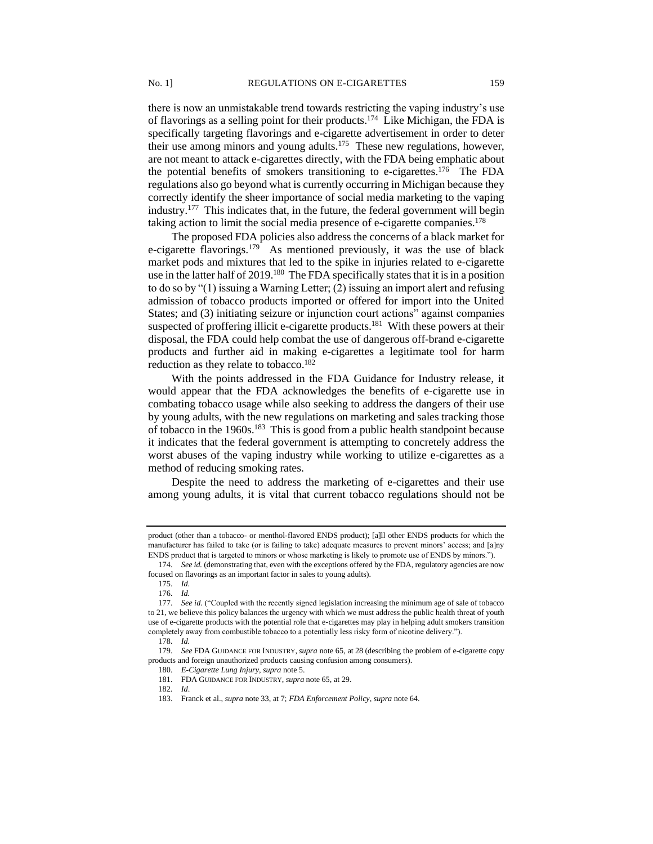there is now an unmistakable trend towards restricting the vaping industry's use of flavorings as a selling point for their products.<sup>174</sup> Like Michigan, the FDA is specifically targeting flavorings and e-cigarette advertisement in order to deter their use among minors and young adults.<sup>175</sup> These new regulations, however, are not meant to attack e-cigarettes directly, with the FDA being emphatic about the potential benefits of smokers transitioning to e-cigarettes.<sup>176</sup> The FDA regulations also go beyond what is currently occurring in Michigan because they correctly identify the sheer importance of social media marketing to the vaping industry.<sup>177</sup> This indicates that, in the future, the federal government will begin taking action to limit the social media presence of e-cigarette companies.<sup>178</sup>

The proposed FDA policies also address the concerns of a black market for e-cigarette flavorings.<sup>179</sup> As mentioned previously, it was the use of black market pods and mixtures that led to the spike in injuries related to e-cigarette use in the latter half of  $2019$ .<sup>180</sup> The FDA specifically states that it is in a position to do so by "(1) issuing a Warning Letter; (2) issuing an import alert and refusing admission of tobacco products imported or offered for import into the United States; and (3) initiating seizure or injunction court actions" against companies suspected of proffering illicit e-cigarette products.<sup>181</sup> With these powers at their disposal, the FDA could help combat the use of dangerous off-brand e-cigarette products and further aid in making e-cigarettes a legitimate tool for harm reduction as they relate to tobacco.<sup>182</sup>

With the points addressed in the FDA Guidance for Industry release, it would appear that the FDA acknowledges the benefits of e-cigarette use in combating tobacco usage while also seeking to address the dangers of their use by young adults, with the new regulations on marketing and sales tracking those of tobacco in the 1960s.<sup>183</sup> This is good from a public health standpoint because it indicates that the federal government is attempting to concretely address the worst abuses of the vaping industry while working to utilize e-cigarettes as a method of reducing smoking rates.

Despite the need to address the marketing of e-cigarettes and their use among young adults, it is vital that current tobacco regulations should not be

product (other than a tobacco- or menthol-flavored ENDS product); [a]ll other ENDS products for which the manufacturer has failed to take (or is failing to take) adequate measures to prevent minors' access; and [a]ny ENDS product that is targeted to minors or whose marketing is likely to promote use of ENDS by minors.").

<sup>174.</sup> *See id.* (demonstrating that, even with the exceptions offered by the FDA, regulatory agencies are now focused on flavorings as an important factor in sales to young adults).

<sup>175.</sup> *Id.*

<sup>176.</sup> *Id.*

<sup>177.</sup> *See id.* ("Coupled with the recently signed legislation increasing the minimum age of sale of tobacco to 21, we believe this policy balances the urgency with which we must address the public health threat of youth use of e-cigarette products with the potential role that e-cigarettes may play in helping adult smokers transition completely away from combustible tobacco to a potentially less risky form of nicotine delivery.").

<sup>178.</sup> *Id.*

<sup>179.</sup> *See* FDA GUIDANCE FOR INDUSTRY, *supra* note 65, at 28 (describing the problem of e-cigarette copy products and foreign unauthorized products causing confusion among consumers).

<sup>180.</sup> *E-Cigarette Lung Injury*, *supra* note 5.

<sup>181.</sup> FDA GUIDANCE FOR INDUSTRY, *supra* note 65, at 29.

<sup>182</sup>*. Id*.

<sup>183.</sup> Franck et al., *supra* note 33, at 7; *FDA Enforcement Policy*, *supra* note 64.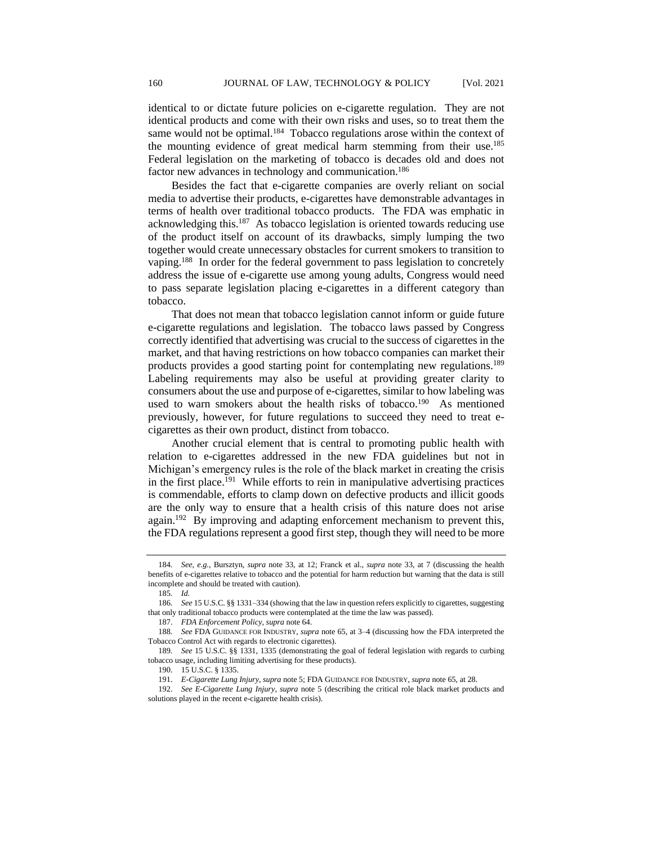identical to or dictate future policies on e-cigarette regulation. They are not identical products and come with their own risks and uses, so to treat them the same would not be optimal.<sup>184</sup> Tobacco regulations arose within the context of the mounting evidence of great medical harm stemming from their use.<sup>185</sup> Federal legislation on the marketing of tobacco is decades old and does not factor new advances in technology and communication.<sup>186</sup>

Besides the fact that e-cigarette companies are overly reliant on social media to advertise their products, e-cigarettes have demonstrable advantages in terms of health over traditional tobacco products. The FDA was emphatic in acknowledging this.<sup>187</sup> As tobacco legislation is oriented towards reducing use of the product itself on account of its drawbacks, simply lumping the two together would create unnecessary obstacles for current smokers to transition to vaping.<sup>188</sup> In order for the federal government to pass legislation to concretely address the issue of e-cigarette use among young adults, Congress would need to pass separate legislation placing e-cigarettes in a different category than tobacco.

That does not mean that tobacco legislation cannot inform or guide future e-cigarette regulations and legislation. The tobacco laws passed by Congress correctly identified that advertising was crucial to the success of cigarettes in the market, and that having restrictions on how tobacco companies can market their products provides a good starting point for contemplating new regulations.<sup>189</sup> Labeling requirements may also be useful at providing greater clarity to consumers about the use and purpose of e-cigarettes, similar to how labeling was used to warn smokers about the health risks of tobacco.<sup>190</sup> As mentioned previously, however, for future regulations to succeed they need to treat ecigarettes as their own product, distinct from tobacco.

Another crucial element that is central to promoting public health with relation to e-cigarettes addressed in the new FDA guidelines but not in Michigan's emergency rules is the role of the black market in creating the crisis in the first place.<sup>191</sup> While efforts to rein in manipulative advertising practices is commendable, efforts to clamp down on defective products and illicit goods are the only way to ensure that a health crisis of this nature does not arise again.<sup>192</sup> By improving and adapting enforcement mechanism to prevent this, the FDA regulations represent a good first step, though they will need to be more

<sup>184</sup>*. See, e.g.*, Bursztyn, *supra* note 33, at 12; Franck et al., *supra* note 33, at 7 (discussing the health benefits of e-cigarettes relative to tobacco and the potential for harm reduction but warning that the data is still incomplete and should be treated with caution).

<sup>185</sup>*. Id.*

<sup>186</sup>*. See* 15 U.S.C. §§ 1331–334 (showing that the law in question refers explicitly to cigarettes, suggesting that only traditional tobacco products were contemplated at the time the law was passed).

<sup>187.</sup> *FDA Enforcement Policy*, *supra* note 64.

<sup>188</sup>*. See* FDA GUIDANCE FOR INDUSTRY, *supra* note 65, at 3–4 (discussing how the FDA interpreted the Tobacco Control Act with regards to electronic cigarettes).

<sup>189</sup>*. See* 15 U.S.C. §§ 1331, 1335 (demonstrating the goal of federal legislation with regards to curbing tobacco usage, including limiting advertising for these products).

<sup>190.</sup> 15 U.S.C. § 1335.

<sup>191.</sup> *E-Cigarette Lung Injury*, *supra* note 5; FDA GUIDANCE FOR INDUSTRY, *supra* note 65, at 28.

<sup>192.</sup> *See E-Cigarette Lung Injury*, *supra* note 5 (describing the critical role black market products and solutions played in the recent e-cigarette health crisis).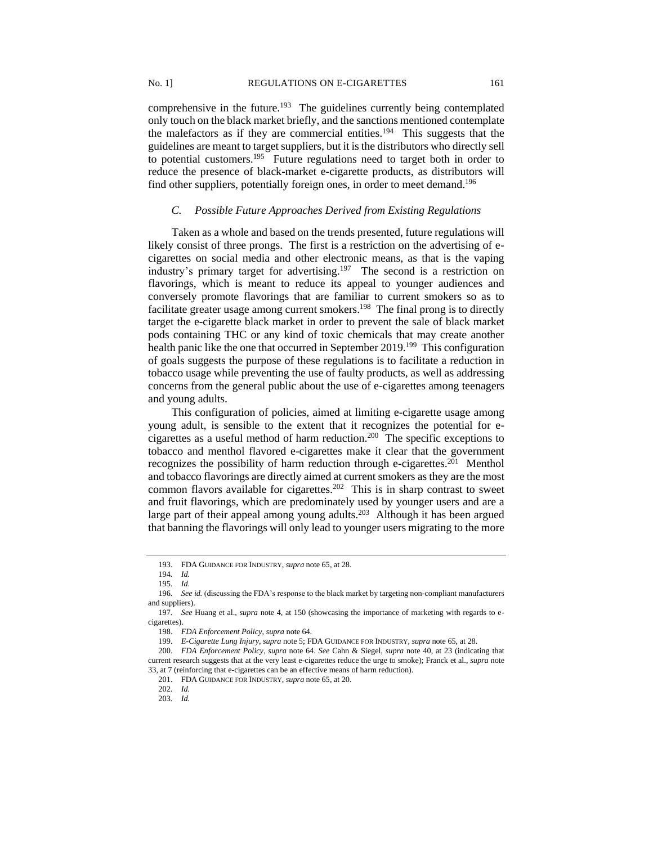comprehensive in the future.<sup>193</sup> The guidelines currently being contemplated only touch on the black market briefly, and the sanctions mentioned contemplate the malefactors as if they are commercial entities.<sup>194</sup> This suggests that the guidelines are meant to target suppliers, but it is the distributors who directly sell to potential customers.<sup>195</sup> Future regulations need to target both in order to reduce the presence of black-market e-cigarette products, as distributors will find other suppliers, potentially foreign ones, in order to meet demand.<sup>196</sup>

#### *C. Possible Future Approaches Derived from Existing Regulations*

Taken as a whole and based on the trends presented, future regulations will likely consist of three prongs. The first is a restriction on the advertising of ecigarettes on social media and other electronic means, as that is the vaping industry's primary target for advertising.<sup>197</sup> The second is a restriction on flavorings, which is meant to reduce its appeal to younger audiences and conversely promote flavorings that are familiar to current smokers so as to facilitate greater usage among current smokers.<sup>198</sup> The final prong is to directly target the e-cigarette black market in order to prevent the sale of black market pods containing THC or any kind of toxic chemicals that may create another health panic like the one that occurred in September 2019.<sup>199</sup> This configuration of goals suggests the purpose of these regulations is to facilitate a reduction in tobacco usage while preventing the use of faulty products, as well as addressing concerns from the general public about the use of e-cigarettes among teenagers and young adults.

This configuration of policies, aimed at limiting e-cigarette usage among young adult, is sensible to the extent that it recognizes the potential for ecigarettes as a useful method of harm reduction.<sup>200</sup> The specific exceptions to tobacco and menthol flavored e-cigarettes make it clear that the government recognizes the possibility of harm reduction through e-cigarettes.<sup>201</sup> Menthol and tobacco flavorings are directly aimed at current smokers as they are the most common flavors available for cigarettes.<sup>202</sup> This is in sharp contrast to sweet and fruit flavorings, which are predominately used by younger users and are a large part of their appeal among young adults.<sup>203</sup> Although it has been argued that banning the flavorings will only lead to younger users migrating to the more

<sup>193.</sup> FDA GUIDANCE FOR INDUSTRY, *supra* note 65, at 28.

<sup>194</sup>*. Id.*

<sup>195</sup>*. Id.*

<sup>196</sup>*. See id.* (discussing the FDA's response to the black market by targeting non-compliant manufacturers and suppliers).

<sup>197</sup>*. See* Huang et al., *supra* note 4, at 150 (showcasing the importance of marketing with regards to ecigarettes).

<sup>198.</sup> *FDA Enforcement Policy*, *supra* note 64.

<sup>199.</sup> *E-Cigarette Lung Injury*, *supra* note 5; FDA GUIDANCE FOR INDUSTRY, *supra* note 65, at 28.

<sup>200.</sup> *FDA Enforcement Policy*, *supra* note 64. *See* Cahn & Siegel, *supra* note 40, at 23 (indicating that current research suggests that at the very least e-cigarettes reduce the urge to smoke); Franck et al., *supra* note 33, at 7 (reinforcing that e-cigarettes can be an effective means of harm reduction).

<sup>201.</sup> FDA GUIDANCE FOR INDUSTRY, *supra* note 65, at 20.

<sup>202</sup>*. Id.*

<sup>203</sup>*. Id.*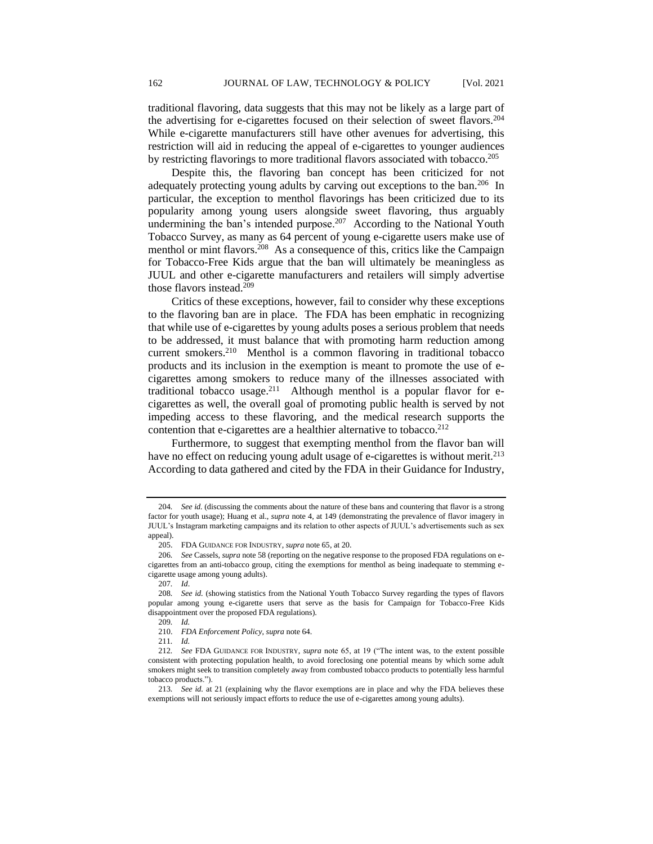traditional flavoring, data suggests that this may not be likely as a large part of the advertising for e-cigarettes focused on their selection of sweet flavors.<sup>204</sup> While e-cigarette manufacturers still have other avenues for advertising, this restriction will aid in reducing the appeal of e-cigarettes to younger audiences by restricting flavorings to more traditional flavors associated with tobacco.<sup>205</sup>

Despite this, the flavoring ban concept has been criticized for not adequately protecting young adults by carving out exceptions to the ban.<sup>206</sup> In particular, the exception to menthol flavorings has been criticized due to its popularity among young users alongside sweet flavoring, thus arguably undermining the ban's intended purpose.<sup>207</sup> According to the National Youth Tobacco Survey, as many as 64 percent of young e-cigarette users make use of menthol or mint flavors.<sup>208</sup> As a consequence of this, critics like the Campaign for Tobacco-Free Kids argue that the ban will ultimately be meaningless as JUUL and other e-cigarette manufacturers and retailers will simply advertise those flavors instead.<sup>209</sup>

Critics of these exceptions, however, fail to consider why these exceptions to the flavoring ban are in place. The FDA has been emphatic in recognizing that while use of e-cigarettes by young adults poses a serious problem that needs to be addressed, it must balance that with promoting harm reduction among current smokers.<sup>210</sup> Menthol is a common flavoring in traditional tobacco products and its inclusion in the exemption is meant to promote the use of ecigarettes among smokers to reduce many of the illnesses associated with traditional tobacco usage.<sup>211</sup> Although menthol is a popular flavor for ecigarettes as well, the overall goal of promoting public health is served by not impeding access to these flavoring, and the medical research supports the contention that e-cigarettes are a healthier alternative to tobacco.<sup>212</sup>

Furthermore, to suggest that exempting menthol from the flavor ban will have no effect on reducing young adult usage of e-cigarettes is without merit.<sup>213</sup> According to data gathered and cited by the FDA in their Guidance for Industry,

<sup>204</sup>*. See id.* (discussing the comments about the nature of these bans and countering that flavor is a strong factor for youth usage); Huang et al., *supra* note 4, at 149 (demonstrating the prevalence of flavor imagery in JUUL's Instagram marketing campaigns and its relation to other aspects of JUUL's advertisements such as sex appeal).

<sup>205.</sup> FDA GUIDANCE FOR INDUSTRY, *supra* note 65, at 20.

<sup>206</sup>*. See* Cassels, *supra* note 58 (reporting on the negative response to the proposed FDA regulations on ecigarettes from an anti-tobacco group, citing the exemptions for menthol as being inadequate to stemming ecigarette usage among young adults).

<sup>207</sup>*. Id*.

<sup>208</sup>*. See id.* (showing statistics from the National Youth Tobacco Survey regarding the types of flavors popular among young e-cigarette users that serve as the basis for Campaign for Tobacco-Free Kids disappointment over the proposed FDA regulations).

<sup>209</sup>*. Id.*

<sup>210.</sup> *FDA Enforcement Policy*, *supra* note 64.

<sup>211</sup>*. Id.*

<sup>212</sup>*. See* FDA GUIDANCE FOR INDUSTRY, *supra* note 65, at 19 ("The intent was, to the extent possible consistent with protecting population health, to avoid foreclosing one potential means by which some adult smokers might seek to transition completely away from combusted tobacco products to potentially less harmful tobacco products.").

<sup>213</sup>*. See id.* at 21 (explaining why the flavor exemptions are in place and why the FDA believes these exemptions will not seriously impact efforts to reduce the use of e-cigarettes among young adults).